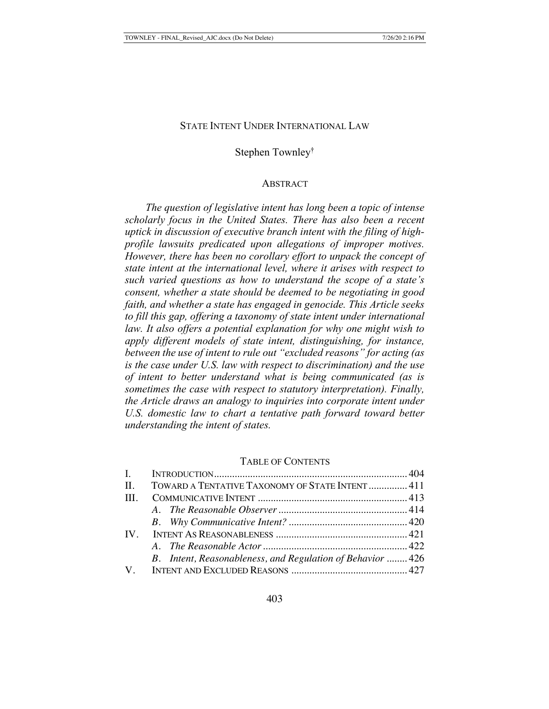#### STATE INTENT UNDER INTERNATIONAL LAW

## Stephen Townley†

## **ABSTRACT**

*The question of legislative intent has long been a topic of intense scholarly focus in the United States. There has also been a recent uptick in discussion of executive branch intent with the filing of highprofile lawsuits predicated upon allegations of improper motives. However, there has been no corollary effort to unpack the concept of state intent at the international level, where it arises with respect to such varied questions as how to understand the scope of a state's consent, whether a state should be deemed to be negotiating in good faith, and whether a state has engaged in genocide. This Article seeks to fill this gap, offering a taxonomy of state intent under international law. It also offers a potential explanation for why one might wish to apply different models of state intent, distinguishing, for instance, between the use of intent to rule out "excluded reasons" for acting (as is the case under U.S. law with respect to discrimination) and the use of intent to better understand what is being communicated (as is sometimes the case with respect to statutory interpretation). Finally, the Article draws an analogy to inquiries into corporate intent under*  U.S. domestic law to chart a tentative path forward toward better *understanding the intent of states.*

#### TABLE OF CONTENTS

|              | II. TOWARD A TENTATIVE TAXONOMY OF STATE INTENT  411      |  |
|--------------|-----------------------------------------------------------|--|
| $\mathbf{H}$ |                                                           |  |
|              |                                                           |  |
|              |                                                           |  |
|              |                                                           |  |
|              |                                                           |  |
|              | B. Intent, Reasonableness, and Regulation of Behavior 426 |  |
|              |                                                           |  |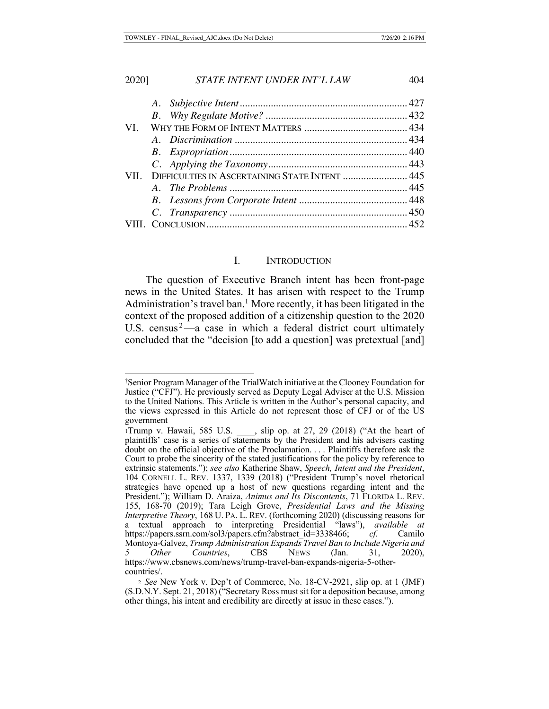| VI.  |                                                |  |
|------|------------------------------------------------|--|
|      |                                                |  |
|      |                                                |  |
|      |                                                |  |
| VII. | DIFFICULTIES IN ASCERTAINING STATE INTENT  445 |  |
|      |                                                |  |
|      |                                                |  |
|      |                                                |  |
|      |                                                |  |
|      |                                                |  |

# I. INTRODUCTION

The question of Executive Branch intent has been front-page news in the United States. It has arisen with respect to the Trump Administration's travel ban.<sup>1</sup> More recently, it has been litigated in the context of the proposed addition of a citizenship question to the 2020 U.S. census $2$ —a case in which a federal district court ultimately concluded that the "decision [to add a question] was pretextual [and]

<sup>†</sup> Senior Program Manager of the TrialWatch initiative at the Clooney Foundation for Justice ("CFJ"). He previously served as Deputy Legal Adviser at the U.S. Mission to the United Nations. This Article is written in the Author's personal capacity, and the views expressed in this Article do not represent those of CFJ or of the US government

<sup>1</sup>Trump v. Hawaii, 585 U.S. \_\_\_\_, slip op. at 27, 29 (2018) ("At the heart of plaintiffs' case is a series of statements by the President and his advisers casting doubt on the official objective of the Proclamation. . . . Plaintiffs therefore ask the Court to probe the sincerity of the stated justifications for the policy by reference to extrinsic statements."); *see also* Katherine Shaw, *Speech, Intent and the President*, 104 CORNELL L. REV. 1337, 1339 (2018) ("President Trump's novel rhetorical strategies have opened up a host of new questions regarding intent and the President."); William D. Araiza, *Animus and Its Discontents*, 71 FLORIDA L. REV. 155, 168-70 (2019); Tara Leigh Grove, *Presidential Laws and the Missing Interpretive Theory*, 168 U. PA. L. REV. (forthcoming 2020) (discussing reasons for a textual approach to interpreting Presidential "laws"), *available at*  https://papers.ssrn.com/sol3/papers.cfm?abstract\_id=3338466; *cf.* Camilo Montoya-Galvez, *Trump Administration Expands Travel Ban to Include Nigeria and 5 Other Countries*, CBS NEWS (Jan. 31, 2020), https://www.cbsnews.com/news/trump-travel-ban-expands-nigeria-5-othercountries/.

<sup>2</sup> *See* New York v. Dep't of Commerce, No. 18-CV-2921, slip op. at 1 (JMF) (S.D.N.Y. Sept. 21, 2018) ("Secretary Ross must sit for a deposition because, among other things, his intent and credibility are directly at issue in these cases.").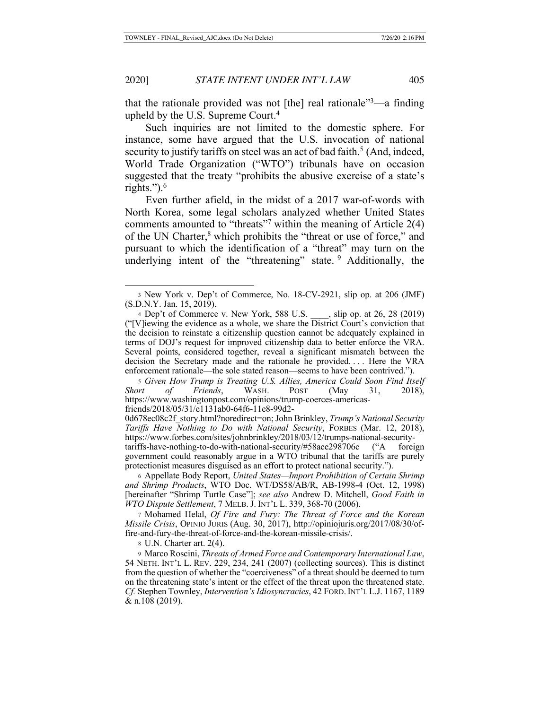that the rationale provided was not [the] real rationale<sup> $3$ </sup>—a finding upheld by the U.S. Supreme Court.<sup>4</sup>

Such inquiries are not limited to the domestic sphere. For instance, some have argued that the U.S. invocation of national security to justify tariffs on steel was an act of bad faith.<sup>5</sup> (And, indeed, World Trade Organization ("WTO") tribunals have on occasion suggested that the treaty "prohibits the abusive exercise of a state's rights."). $^6$ 

Even further afield, in the midst of a 2017 war-of-words with North Korea, some legal scholars analyzed whether United States comments amounted to "threats"<sup>7</sup> within the meaning of Article  $2(4)$ of the UN Charter,<sup>8</sup> which prohibits the "threat or use of force," and pursuant to which the identification of a "threat" may turn on the underlying intent of the "threatening" state.  $9$  Additionally, the

<sup>5</sup> *Given How Trump is Treating U.S. Allies, America Could Soon Find Itself Short of Friends*, WASH. POST (May 31, 2018), https://www.washingtonpost.com/opinions/trump-coerces-americasfriends/2018/05/31/e1131ab0-64f6-11e8-99d2-

0d678ec08c2f\_story.html?noredirect=on; John Brinkley, *Trump's National Security Tariffs Have Nothing to Do with National Security*, FORBES (Mar. 12, 2018), https://www.forbes.com/sites/johnbrinkley/2018/03/12/trumps-national-securitytariffs-have-nothing-to-do-with-national-security/#58ace298706c ("A foreign government could reasonably argue in a WTO tribunal that the tariffs are purely protectionist measures disguised as an effort to protect national security.").

<sup>6</sup> Appellate Body Report, *United States—Import Prohibition of Certain Shrimp and Shrimp Products*, WTO Doc. WT/DS58/AB/R, AB-1998-4 (Oct. 12, 1998) [hereinafter "Shrimp Turtle Case"]; *see also* Andrew D. Mitchell, *Good Faith in WTO Dispute Settlement*, 7 MELB. J. INT'L L. 339, 368-70 (2006).

<sup>7</sup> Mohamed Helal, *Of Fire and Fury: The Threat of Force and the Korean Missile Crisis*, OPINIO JURIS (Aug. 30, 2017), http://opiniojuris.org/2017/08/30/offire-and-fury-the-threat-of-force-and-the-korean-missile-crisis/.

8 U.N. Charter art. 2(4).

<sup>9</sup> Marco Roscini, *Threats of Armed Force and Contemporary International Law*, 54 NETH. INT'L L. REV. 229, 234, 241 (2007) (collecting sources). This is distinct from the question of whether the "coerciveness" of a threat should be deemed to turn on the threatening state's intent or the effect of the threat upon the threatened state. *Cf.* Stephen Townley, *Intervention's Idiosyncracies*, 42 FORD.INT'L L.J. 1167, 1189 & n.108 (2019).

<sup>3</sup> New York v. Dep't of Commerce, No. 18-CV-2921, slip op. at 206 (JMF) (S.D.N.Y. Jan. 15, 2019).

<sup>4</sup> Dep't of Commerce v. New York, 588 U.S. , slip op. at 26, 28 (2019)  $("V)$ iewing the evidence as a whole, we share the  $\overline{D}$ istrict Court's conviction that the decision to reinstate a citizenship question cannot be adequately explained in terms of DOJ's request for improved citizenship data to better enforce the VRA. Several points, considered together, reveal a significant mismatch between the decision the Secretary made and the rationale he provided. . . . Here the VRA enforcement rationale—the sole stated reason—seems to have been contrived.").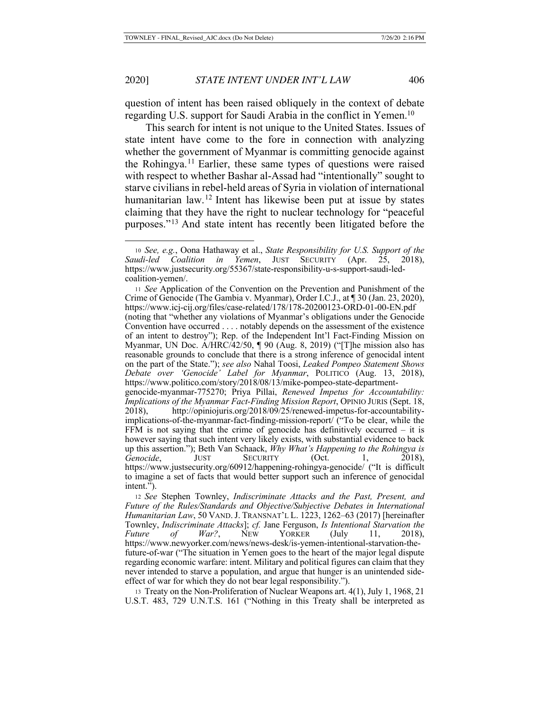question of intent has been raised obliquely in the context of debate regarding U.S. support for Saudi Arabia in the conflict in Yemen.<sup>10</sup>

This search for intent is not unique to the United States. Issues of state intent have come to the fore in connection with analyzing whether the government of Myanmar is committing genocide against the Rohingya.<sup>11</sup> Earlier, these same types of questions were raised with respect to whether Bashar al-Assad had "intentionally" sought to starve civilians in rebel-held areas of Syria in violation of international humanitarian law.<sup>12</sup> Intent has likewise been put at issue by states claiming that they have the right to nuclear technology for "peaceful purposes."13 And state intent has recently been litigated before the

<sup>10</sup> *See, e.g.*, Oona Hathaway et al., *State Responsibility for U.S. Support of the Saudi-led Coalition in Yemen*, JUST SECURITY (Apr. 25, 2018), https://www.justsecurity.org/55367/state-responsibility-u-s-support-saudi-ledcoalition-yemen/.

<sup>11</sup> *See* Application of the Convention on the Prevention and Punishment of the Crime of Genocide (The Gambia v. Myanmar), Order I.C.J., at ¶ 30 (Jan. 23, 2020), https://www.icj-cij.org/files/case-related/178/178-20200123-ORD-01-00-EN.pdf (noting that "whether any violations of Myanmar's obligations under the Genocide Convention have occurred . . . . notably depends on the assessment of the existence of an intent to destroy"); Rep. of the Independent Int'l Fact-Finding Mission on Myanmar, UN Doc. A/HRC/42/50, ¶ 90 (Aug. 8, 2019) ("[T]he mission also has reasonable grounds to conclude that there is a strong inference of genocidal intent on the part of the State."); *see also* Nahal Toosi, *Leaked Pompeo Statement Shows Debate over 'Genocide' Label for Myanmar*, POLITICO (Aug. 13, 2018), https://www.politico.com/story/2018/08/13/mike-pompeo-state-departmentgenocide-myanmar-775270; Priya Pillai, *Renewed Impetus for Accountability: Implications of the Myanmar Fact-Finding Mission Report*, OPINIO JURIS (Sept. 18, 2018), http://opiniojuris.org/2018/09/25/renewed-impetus-for-accountabilityimplications-of-the-myanmar-fact-finding-mission-report/ ("To be clear, while the FFM is not saying that the crime of genocide has definitively occurred – it is however saying that such intent very likely exists, with substantial evidence to back up this assertion."); Beth Van Schaack, *Why What's Happening to the Rohingya is Genocide*, JUST SECURITY (Oct. 1, 2018), https://www.justsecurity.org/60912/happening-rohingya-genocide/ ("It is difficult to imagine a set of facts that would better support such an inference of genocidal

intent."). <sup>12</sup> *See* Stephen Townley, *Indiscriminate Attacks and the Past, Present, and Future of the Rules/Standards and Objective/Subjective Debates in International Humanitarian Law*, 50 VAND.J. TRANSNAT'L L. 1223, 1262–63 (2017) [hereinafter Townley, *Indiscriminate Attacks*]; *cf.* Jane Ferguson, *Is Intentional Starvation the Future of War?*, NEW YORKER (July 11, 2018), https://www.newyorker.com/news/news-desk/is-yemen-intentional-starvation-the-

future-of-war ("The situation in Yemen goes to the heart of the major legal dispute regarding economic warfare: intent. Military and political figures can claim that they never intended to starve a population, and argue that hunger is an unintended sideeffect of war for which they do not bear legal responsibility.").

<sup>13</sup> Treaty on the Non-Proliferation of Nuclear Weapons art. 4(1), July 1, 1968, 21 U.S.T. 483, 729 U.N.T.S. 161 ("Nothing in this Treaty shall be interpreted as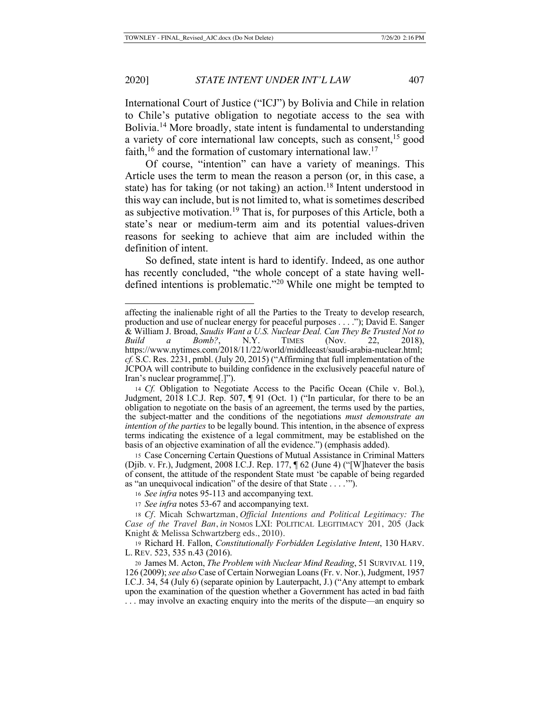International Court of Justice ("ICJ") by Bolivia and Chile in relation to Chile's putative obligation to negotiate access to the sea with Bolivia.<sup>14</sup> More broadly, state intent is fundamental to understanding a variety of core international law concepts, such as consent,<sup>15</sup> good faith,  $16$  and the formation of customary international law.<sup>17</sup>

Of course, "intention" can have a variety of meanings. This Article uses the term to mean the reason a person (or, in this case, a state) has for taking (or not taking) an action.<sup>18</sup> Intent understood in this way can include, but is not limited to, what is sometimes described as subjective motivation.19 That is, for purposes of this Article, both a state's near or medium-term aim and its potential values-driven reasons for seeking to achieve that aim are included within the definition of intent.

So defined, state intent is hard to identify. Indeed, as one author has recently concluded, "the whole concept of a state having welldefined intentions is problematic."20 While one might be tempted to

affecting the inalienable right of all the Parties to the Treaty to develop research, production and use of nuclear energy for peaceful purposes . . . ."); David E. Sanger & William J. Broad, *Saudis Want a U.S. Nuclear Deal. Can They Be Trusted Not to Build a Bomb?*, N.Y. TIMES (Nov. 22, 2018), https://www.nytimes.com/2018/11/22/world/middleeast/saudi-arabia-nuclear.html; *cf.* S.C. Res. 2231, pmbl. (July 20, 2015) ("Affirming that full implementation of the JCPOA will contribute to building confidence in the exclusively peaceful nature of Iran's nuclear programme[.]").

<sup>14</sup> *Cf.* Obligation to Negotiate Access to the Pacific Ocean (Chile v. Bol.), Judgment, 2018 I.C.J. Rep. 507, ¶ 91 (Oct. 1) ("In particular, for there to be an obligation to negotiate on the basis of an agreement, the terms used by the parties, the subject-matter and the conditions of the negotiations *must demonstrate an intention of the parties* to be legally bound. This intention, in the absence of express terms indicating the existence of a legal commitment, may be established on the basis of an objective examination of all the evidence.") (emphasis added).

<sup>15</sup> Case Concerning Certain Questions of Mutual Assistance in Criminal Matters (Djib. v. Fr.), Judgment, 2008 I.C.J. Rep. 177, ¶ 62 (June 4) ("[W]hatever the basis of consent, the attitude of the respondent State must 'be capable of being regarded as "an unequivocal indication" of the desire of that State . . . .'").

<sup>16</sup> *See infra* notes 95-113 and accompanying text.

<sup>17</sup> *See infra* notes 53-67 and accompanying text.

<sup>18</sup> *Cf.* Micah Schwartzman, *Official Intentions and Political Legitimacy: The Case of the Travel Ban*, *in* NOMOS LXI: POLITICAL LEGITIMACY 201, 205 (Jack Knight & Melissa Schwartzberg eds., 2010).

<sup>19</sup> Richard H. Fallon, *Constitutionally Forbidden Legislative Intent*, 130 HARV. L. REV. 523, 535 n.43 (2016).

<sup>20</sup> James M. Acton, *The Problem with Nuclear Mind Reading*, 51 SURVIVAL 119, 126 (2009); *see also* Case of Certain Norwegian Loans (Fr. v. Nor.), Judgment, 1957 I.C.J. 34, 54 (July 6) (separate opinion by Lauterpacht, J.) ("Any attempt to embark upon the examination of the question whether a Government has acted in bad faith . . . may involve an exacting enquiry into the merits of the dispute—an enquiry so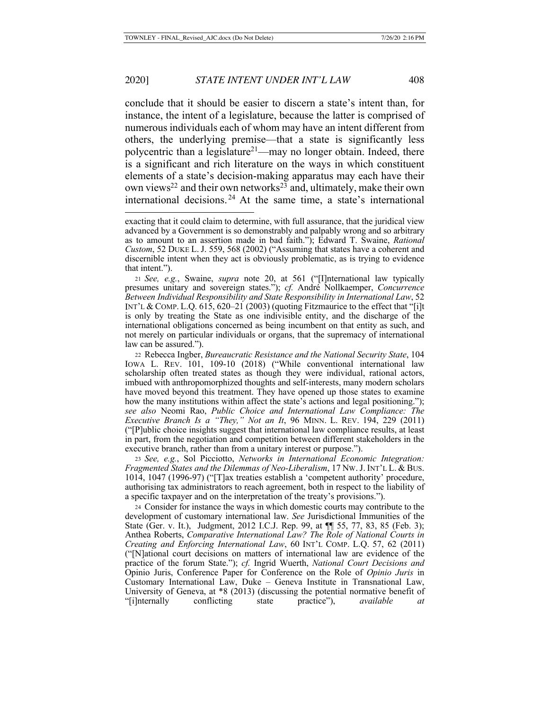conclude that it should be easier to discern a state's intent than, for instance, the intent of a legislature, because the latter is comprised of numerous individuals each of whom may have an intent different from others, the underlying premise—that a state is significantly less polycentric than a legislature<sup>21</sup>—may no longer obtain. Indeed, there is a significant and rich literature on the ways in which constituent elements of a state's decision-making apparatus may each have their own views<sup>22</sup> and their own networks<sup>23</sup> and, ultimately, make their own international decisions. 24 At the same time, a state's international

<sup>23</sup> *See, e.g.*, Sol Picciotto, *Networks in International Economic Integration: Fragmented States and the Dilemmas of Neo-Liberalism*, 17 NW.J. INT'L L. & BUS. 1014, 1047 (1996-97) ("[T]ax treaties establish a 'competent authority' procedure, authorising tax administrators to reach agreement, both in respect to the liability of a specific taxpayer and on the interpretation of the treaty's provisions.").

<sup>24</sup> Consider for instance the ways in which domestic courts may contribute to the development of customary international law. *See* Jurisdictional Immunities of the State (Ger. v. It.), Judgment, 2012 I.C.J. Rep. 99, at ¶¶ 55, 77, 83, 85 (Feb. 3); Anthea Roberts, *Comparative International Law? The Role of National Courts in Creating and Enforcing International Law*, 60 INT'L COMP. L.Q. 57, 62 (2011) ("[N]ational court decisions on matters of international law are evidence of the practice of the forum State."); *cf.* Ingrid Wuerth, *National Court Decisions and* Opinio Juris, Conference Paper for Conference on the Role of *Opinio Juris* in Customary International Law, Duke – Geneva Institute in Transnational Law, University of Geneva, at \*8 (2013) (discussing the potential normative benefit of "[i]nternally conflicting state practice"), *available at*

exacting that it could claim to determine, with full assurance, that the juridical view advanced by a Government is so demonstrably and palpably wrong and so arbitrary as to amount to an assertion made in bad faith."); Edward T. Swaine, *Rational Custom*, 52 DUKE L. J. 559, 568 (2002) ("Assuming that states have a coherent and discernible intent when they act is obviously problematic, as is trying to evidence that intent.").

<sup>21</sup> *See, e.g.*, Swaine, *supra* note 20, at 561 ("[I]nternational law typically presumes unitary and sovereign states."); *cf.* André Nollkaemper, *Concurrence Between Individual Responsibility and State Responsibility in International Law*, 52 INT'L & COMP. L.Q. 615, 620–21 (2003) (quoting Fitzmaurice to the effect that "[i]t is only by treating the State as one indivisible entity, and the discharge of the international obligations concerned as being incumbent on that entity as such, and not merely on particular individuals or organs, that the supremacy of international law can be assured.").

<sup>22</sup> Rebecca Ingber, *Bureaucratic Resistance and the National Security State*, 104 IOWA L. REV. 101, 109-10 (2018) ("While conventional international law scholarship often treated states as though they were individual, rational actors, imbued with anthropomorphized thoughts and self-interests, many modern scholars have moved beyond this treatment. They have opened up those states to examine how the many institutions within affect the state's actions and legal positioning."); *see also* Neomi Rao, *Public Choice and International Law Compliance: The Executive Branch Is a "They," Not an It*, 96 MINN. L. REV. 194, 229 (2011) ("[P]ublic choice insights suggest that international law compliance results, at least in part, from the negotiation and competition between different stakeholders in the executive branch, rather than from a unitary interest or purpose.").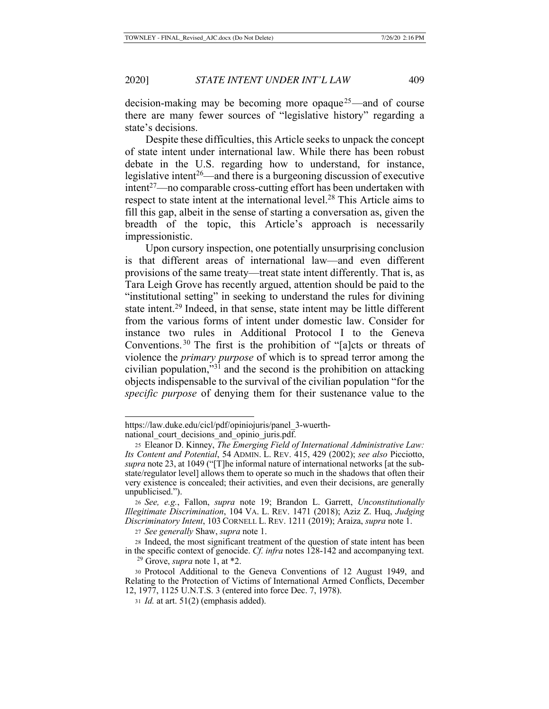decision-making may be becoming more opaque<sup>25</sup>—and of course there are many fewer sources of "legislative history" regarding a state's decisions.

Despite these difficulties, this Article seeks to unpack the concept of state intent under international law. While there has been robust debate in the U.S. regarding how to understand, for instance, legislative intent<sup>26</sup>—and there is a burgeoning discussion of executive  $int^{27}$ —no comparable cross-cutting effort has been undertaken with respect to state intent at the international level.<sup>28</sup> This Article aims to fill this gap, albeit in the sense of starting a conversation as, given the breadth of the topic, this Article's approach is necessarily impressionistic.

Upon cursory inspection, one potentially unsurprising conclusion is that different areas of international law—and even different provisions of the same treaty—treat state intent differently. That is, as Tara Leigh Grove has recently argued, attention should be paid to the "institutional setting" in seeking to understand the rules for divining state intent.<sup>29</sup> Indeed, in that sense, state intent may be little different from the various forms of intent under domestic law. Consider for instance two rules in Additional Protocol I to the Geneva Conventions. 30 The first is the prohibition of "[a]cts or threats of violence the *primary purpose* of which is to spread terror among the civilian population,"31 and the second is the prohibition on attacking objects indispensable to the survival of the civilian population "for the *specific purpose* of denying them for their sustenance value to the

https://law.duke.edu/cicl/pdf/opiniojuris/panel\_3-wuerth-

national court decisions and opinio juris.pdf.

<sup>25</sup> Eleanor D. Kinney, *The Emerging Field of International Administrative Law: Its Content and Potential*, 54 ADMIN. L. REV. 415, 429 (2002); *see also* Picciotto, *supra* note 23, at 1049 ("[T]he informal nature of international networks [at the substate/regulator level] allows them to operate so much in the shadows that often their very existence is concealed; their activities, and even their decisions, are generally unpublicised.").

<sup>26</sup> *See, e.g.*, Fallon, *supra* note 19; Brandon L. Garrett, *Unconstitutionally Illegitimate Discrimination*, 104 VA. L. REV. 1471 (2018); Aziz Z. Huq, *Judging Discriminatory Intent*, 103 CORNELL L. REV. 1211 (2019); Araiza, *supra* note 1.

<sup>27</sup> *See generally* Shaw, *supra* note 1.

<sup>28</sup> Indeed, the most significant treatment of the question of state intent has been in the specific context of genocide. *Cf. infra* notes 128-142 and accompanying text.

<sup>29</sup> Grove, *supra* note 1, at \*2.

<sup>30</sup> Protocol Additional to the Geneva Conventions of 12 August 1949, and Relating to the Protection of Victims of International Armed Conflicts, December 12, 1977, 1125 U.N.T.S. 3 (entered into force Dec. 7, 1978).

<sup>31</sup> *Id.* at art. 51(2) (emphasis added).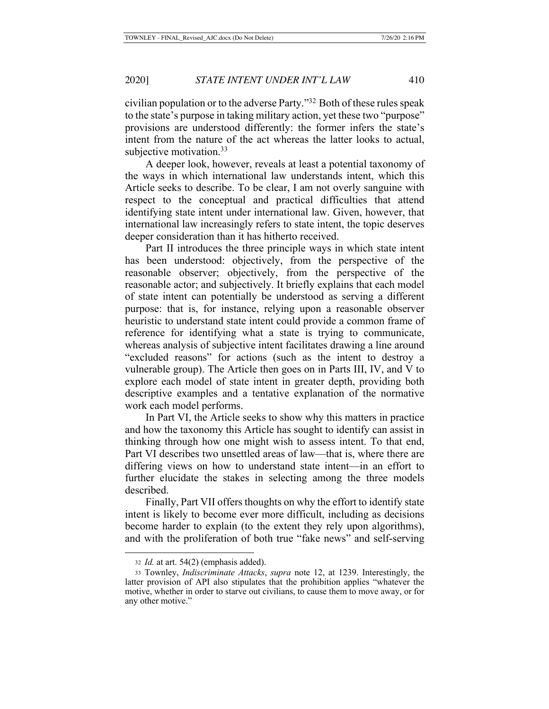civilian population or to the adverse Party."32 Both of these rules speak to the state's purpose in taking military action, yet these two "purpose" provisions are understood differently: the former infers the state's intent from the nature of the act whereas the latter looks to actual, subjective motivation. $33$ 

A deeper look, however, reveals at least a potential taxonomy of the ways in which international law understands intent, which this Article seeks to describe. To be clear, I am not overly sanguine with respect to the conceptual and practical difficulties that attend identifying state intent under international law. Given, however, that international law increasingly refers to state intent, the topic deserves deeper consideration than it has hitherto received.

Part II introduces the three principle ways in which state intent has been understood: objectively, from the perspective of the reasonable observer; objectively, from the perspective of the reasonable actor; and subjectively. It briefly explains that each model of state intent can potentially be understood as serving a different purpose: that is, for instance, relying upon a reasonable observer heuristic to understand state intent could provide a common frame of reference for identifying what a state is trying to communicate, whereas analysis of subjective intent facilitates drawing a line around "excluded reasons" for actions (such as the intent to destroy a vulnerable group). The Article then goes on in Parts III, IV, and V to explore each model of state intent in greater depth, providing both descriptive examples and a tentative explanation of the normative work each model performs.

In Part VI, the Article seeks to show why this matters in practice and how the taxonomy this Article has sought to identify can assist in thinking through how one might wish to assess intent. To that end, Part VI describes two unsettled areas of law—that is, where there are differing views on how to understand state intent—in an effort to further elucidate the stakes in selecting among the three models described.

Finally, Part VII offers thoughts on why the effort to identify state intent is likely to become ever more difficult, including as decisions become harder to explain (to the extent they rely upon algorithms), and with the proliferation of both true "fake news" and self-serving

<sup>32</sup> *Id.* at art. 54(2) (emphasis added).

<sup>33</sup> Townley, *Indiscriminate Attacks*, *supra* note 12, at 1239. Interestingly, the latter provision of API also stipulates that the prohibition applies "whatever the motive, whether in order to starve out civilians, to cause them to move away, or for any other motive."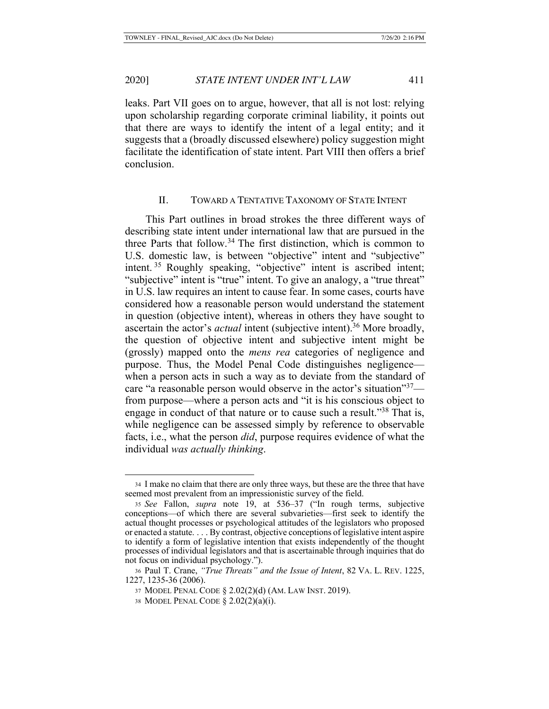leaks. Part VII goes on to argue, however, that all is not lost: relying upon scholarship regarding corporate criminal liability, it points out that there are ways to identify the intent of a legal entity; and it suggests that a (broadly discussed elsewhere) policy suggestion might facilitate the identification of state intent. Part VIII then offers a brief conclusion.

## II. TOWARD A TENTATIVE TAXONOMY OF STATE INTENT

This Part outlines in broad strokes the three different ways of describing state intent under international law that are pursued in the three Parts that follow.34 The first distinction, which is common to U.S. domestic law, is between "objective" intent and "subjective" intent.<sup>35</sup> Roughly speaking, "objective" intent is ascribed intent; "subjective" intent is "true" intent. To give an analogy, a "true threat" in U.S. law requires an intent to cause fear. In some cases, courts have considered how a reasonable person would understand the statement in question (objective intent), whereas in others they have sought to ascertain the actor's *actual* intent (subjective intent).<sup>36</sup> More broadly, the question of objective intent and subjective intent might be (grossly) mapped onto the *mens rea* categories of negligence and purpose. Thus, the Model Penal Code distinguishes negligence when a person acts in such a way as to deviate from the standard of care "a reasonable person would observe in the actor's situation"<sup>37</sup> from purpose—where a person acts and "it is his conscious object to engage in conduct of that nature or to cause such a result."<sup>38</sup> That is, while negligence can be assessed simply by reference to observable facts, i.e., what the person *did*, purpose requires evidence of what the individual *was actually thinking*.

<sup>34</sup> I make no claim that there are only three ways, but these are the three that have seemed most prevalent from an impressionistic survey of the field.

<sup>35</sup> *See* Fallon, *supra* note 19, at 536–37 ("In rough terms, subjective conceptions—of which there are several subvarieties—first seek to identify the actual thought processes or psychological attitudes of the legislators who proposed or enacted a statute. . . . By contrast, objective conceptions of legislative intent aspire to identify a form of legislative intention that exists independently of the thought processes of individual legislators and that is ascertainable through inquiries that do not focus on individual psychology.").

<sup>36</sup> Paul T. Crane, *"True Threats" and the Issue of Intent*, 82 VA. L. REV. 1225, 1227, 1235-36 (2006).

<sup>37</sup> MODEL PENAL CODE § 2.02(2)(d) (AM. LAW INST. 2019).

<sup>38</sup> MODEL PENAL CODE § 2.02(2)(a)(i).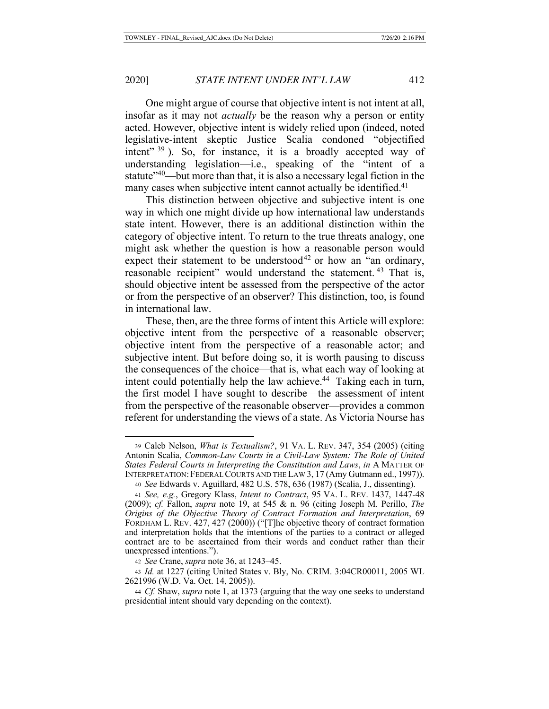One might argue of course that objective intent is not intent at all, insofar as it may not *actually* be the reason why a person or entity acted. However, objective intent is widely relied upon (indeed, noted legislative-intent skeptic Justice Scalia condoned "objectified intent"  $39$ ). So, for instance, it is a broadly accepted way of understanding legislation—i.e., speaking of the "intent of a statute<sup>"40</sup>—but more than that, it is also a necessary legal fiction in the many cases when subjective intent cannot actually be identified.<sup>41</sup>

This distinction between objective and subjective intent is one way in which one might divide up how international law understands state intent. However, there is an additional distinction within the category of objective intent. To return to the true threats analogy, one might ask whether the question is how a reasonable person would expect their statement to be understood<sup>42</sup> or how an "an ordinary, reasonable recipient" would understand the statement.<sup>43</sup> That is, should objective intent be assessed from the perspective of the actor or from the perspective of an observer? This distinction, too, is found in international law.

These, then, are the three forms of intent this Article will explore: objective intent from the perspective of a reasonable observer; objective intent from the perspective of a reasonable actor; and subjective intent. But before doing so, it is worth pausing to discuss the consequences of the choice—that is, what each way of looking at intent could potentially help the law achieve.<sup>44</sup> Taking each in turn, the first model I have sought to describe—the assessment of intent from the perspective of the reasonable observer—provides a common referent for understanding the views of a state. As Victoria Nourse has

<sup>39</sup> Caleb Nelson, *What is Textualism?*, 91 VA. L. REV. 347, 354 (2005) (citing Antonin Scalia, *Common-Law Courts in a Civil-Law System: The Role of United States Federal Courts in Interpreting the Constitution and Laws*, *in* A MATTER OF INTERPRETATION: FEDERAL COURTS AND THE LAW 3, 17 (Amy Gutmann ed., 1997)).

<sup>40</sup> *See* Edwards v. Aguillard, 482 U.S. 578, 636 (1987) (Scalia, J., dissenting).

<sup>41</sup> *See, e.g.*, Gregory Klass, *Intent to Contract*, 95 VA. L. REV. 1437, 1447-48 (2009); *cf.* Fallon, *supra* note 19, at 545 & n. 96 (citing Joseph M. Perillo, *The Origins of the Objective Theory of Contract Formation and Interpretation*, 69 FORDHAM L. REV. 427, 427 (2000)) ("The objective theory of contract formation and interpretation holds that the intentions of the parties to a contract or alleged contract are to be ascertained from their words and conduct rather than their unexpressed intentions.").

<sup>42</sup> *See* Crane, *supra* note 36, at 1243–45.

<sup>43</sup> *Id.* at 1227 (citing United States v. Bly, No. CRIM. 3:04CR00011, 2005 WL 2621996 (W.D. Va. Oct. 14, 2005)).

<sup>44</sup> *Cf.* Shaw, *supra* note 1, at 1373 (arguing that the way one seeks to understand presidential intent should vary depending on the context).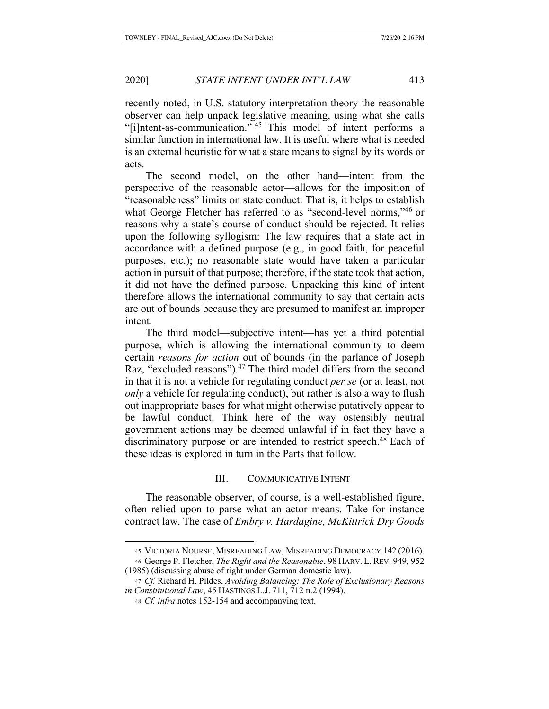recently noted, in U.S. statutory interpretation theory the reasonable observer can help unpack legislative meaning, using what she calls "[i]ntent-as-communication." 45 This model of intent performs a similar function in international law. It is useful where what is needed is an external heuristic for what a state means to signal by its words or acts.

The second model, on the other hand—intent from the perspective of the reasonable actor—allows for the imposition of "reasonableness" limits on state conduct. That is, it helps to establish what George Fletcher has referred to as "second-level norms,"<sup>46</sup> or reasons why a state's course of conduct should be rejected. It relies upon the following syllogism: The law requires that a state act in accordance with a defined purpose (e.g., in good faith, for peaceful purposes, etc.); no reasonable state would have taken a particular action in pursuit of that purpose; therefore, if the state took that action, it did not have the defined purpose. Unpacking this kind of intent therefore allows the international community to say that certain acts are out of bounds because they are presumed to manifest an improper intent.

The third model—subjective intent—has yet a third potential purpose, which is allowing the international community to deem certain *reasons for action* out of bounds (in the parlance of Joseph Raz, "excluded reasons").<sup>47</sup> The third model differs from the second in that it is not a vehicle for regulating conduct *per se* (or at least, not *only* a vehicle for regulating conduct), but rather is also a way to flush out inappropriate bases for what might otherwise putatively appear to be lawful conduct. Think here of the way ostensibly neutral government actions may be deemed unlawful if in fact they have a discriminatory purpose or are intended to restrict speech.<sup>48</sup> Each of these ideas is explored in turn in the Parts that follow.

# III. COMMUNICATIVE INTENT

The reasonable observer, of course, is a well-established figure, often relied upon to parse what an actor means. Take for instance contract law. The case of *Embry v. Hardagine, McKittrick Dry Goods* 

<sup>45</sup> VICTORIA NOURSE, MISREADING LAW, MISREADING DEMOCRACY 142 (2016). <sup>46</sup> George P. Fletcher, *The Right and the Reasonable*, 98 HARV. L. REV. 949, 952

<sup>(1985) (</sup>discussing abuse of right under German domestic law).

<sup>47</sup> *Cf.* Richard H. Pildes, *Avoiding Balancing: The Role of Exclusionary Reasons in Constitutional Law*, 45 HASTINGS L.J. 711, 712 n.2 (1994).

<sup>48</sup> *Cf. infra* notes 152-154 and accompanying text.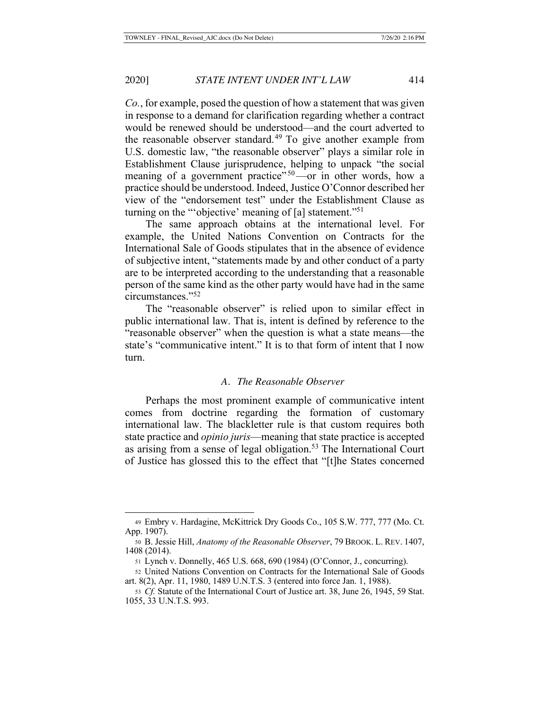*Co.*, for example, posed the question of how a statement that was given in response to a demand for clarification regarding whether a contract would be renewed should be understood—and the court adverted to the reasonable observer standard.<sup>49</sup> To give another example from U.S. domestic law, "the reasonable observer" plays a similar role in Establishment Clause jurisprudence, helping to unpack "the social meaning of a government practice"  $50$ —or in other words, how a practice should be understood. Indeed, Justice O'Connor described her view of the "endorsement test" under the Establishment Clause as turning on the "'objective' meaning of [a] statement."51

The same approach obtains at the international level. For example, the United Nations Convention on Contracts for the International Sale of Goods stipulates that in the absence of evidence of subjective intent, "statements made by and other conduct of a party are to be interpreted according to the understanding that a reasonable person of the same kind as the other party would have had in the same circumstances."52

The "reasonable observer" is relied upon to similar effect in public international law. That is, intent is defined by reference to the "reasonable observer" when the question is what a state means—the state's "communicative intent." It is to that form of intent that I now turn.

## *A. The Reasonable Observer*

Perhaps the most prominent example of communicative intent comes from doctrine regarding the formation of customary international law. The blackletter rule is that custom requires both state practice and *opinio juris*—meaning that state practice is accepted as arising from a sense of legal obligation.<sup>53</sup> The International Court of Justice has glossed this to the effect that "[t]he States concerned

<sup>49</sup> Embry v. Hardagine, McKittrick Dry Goods Co., 105 S.W. 777, 777 (Mo. Ct. App. 1907).

<sup>50</sup> B. Jessie Hill, *Anatomy of the Reasonable Observer*, 79 BROOK. L. REV. 1407, 1408 (2014).

<sup>51</sup> Lynch v. Donnelly, 465 U.S. 668, 690 (1984) (O'Connor, J., concurring).

<sup>52</sup> United Nations Convention on Contracts for the International Sale of Goods art. 8(2), Apr. 11, 1980, 1489 U.N.T.S. 3 (entered into force Jan. 1, 1988).

<sup>53</sup> *Cf.* Statute of the International Court of Justice art. 38, June 26, 1945, 59 Stat. 1055, 33 U.N.T.S. 993.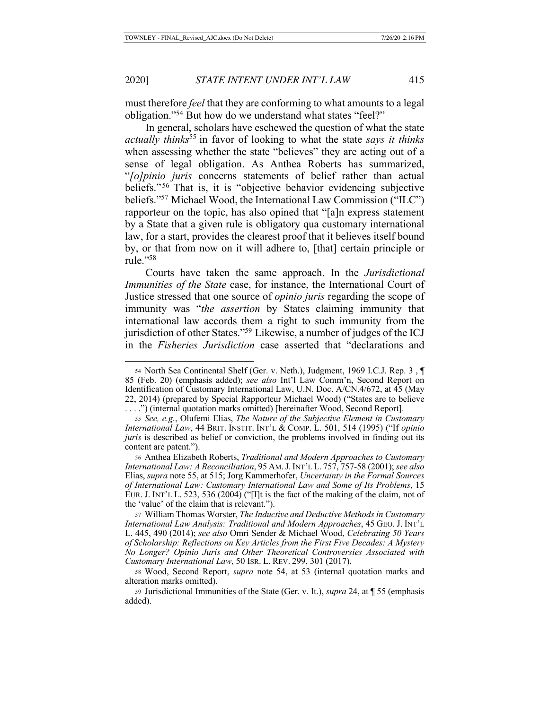must therefore *feel* that they are conforming to what amounts to a legal obligation."54 But how do we understand what states "feel?"

In general, scholars have eschewed the question of what the state *actually thinks*55 in favor of looking to what the state *says it thinks*  when assessing whether the state "believes" they are acting out of a sense of legal obligation. As Anthea Roberts has summarized, "*[o]pinio juris* concerns statements of belief rather than actual beliefs." 56 That is, it is "objective behavior evidencing subjective beliefs."57 Michael Wood, the International Law Commission ("ILC") rapporteur on the topic, has also opined that "[a]n express statement by a State that a given rule is obligatory qua customary international law, for a start, provides the clearest proof that it believes itself bound by, or that from now on it will adhere to, [that] certain principle or rule."58

Courts have taken the same approach. In the *Jurisdictional Immunities of the State* case, for instance, the International Court of Justice stressed that one source of *opinio juris* regarding the scope of immunity was "*the assertion* by States claiming immunity that international law accords them a right to such immunity from the jurisdiction of other States."59 Likewise, a number of judges of the ICJ in the *Fisheries Jurisdiction* case asserted that "declarations and

<sup>54</sup> North Sea Continental Shelf (Ger. v. Neth.), Judgment, 1969 I.C.J. Rep. 3 , ¶ 85 (Feb. 20) (emphasis added); *see also* Int'l Law Comm'n, Second Report on Identification of Customary International Law, U.N. Doc. A/CN.4/672, at 45 (May 22, 2014) (prepared by Special Rapporteur Michael Wood) ("States are to believe . . . .") (internal quotation marks omitted) [hereinafter Wood, Second Report].

<sup>55</sup> *See, e.g.*, Olufemi Elias, *The Nature of the Subjective Element in Customary International Law*, 44 BRIT. INSTIT. INT'L & COMP. L. 501, 514 (1995) ("If *opinio juris* is described as belief or conviction, the problems involved in finding out its content are patent.").

<sup>56</sup> Anthea Elizabeth Roberts, *Traditional and Modern Approaches to Customary International Law: A Reconciliation*, 95 AM.J.INT'L L. 757, 757-58 (2001); *see also*  Elias, *supra* note 55, at 515; Jorg Kammerhofer, *Uncertainty in the Formal Sources of International Law: Customary International Law and Some of Its Problems*, 15 EUR. J. INT'L L. 523, 536 (2004) ("[I]t is the fact of the making of the claim, not of the 'value' of the claim that is relevant.").

<sup>57</sup> William Thomas Worster, *The Inductive and Deductive Methods in Customary International Law Analysis: Traditional and Modern Approaches*, 45 GEO. J. INT'L L. 445, 490 (2014); *see also* Omri Sender & Michael Wood, *Celebrating 50 Years of Scholarship: Reflections on Key Articles from the First Five Decades: A Mystery No Longer? Opinio Juris and Other Theoretical Controversies Associated with Customary International Law*, 50 ISR. L. REV. 299, 301 (2017).

<sup>58</sup> Wood, Second Report, *supra* note 54, at 53 (internal quotation marks and alteration marks omitted).

<sup>59</sup> Jurisdictional Immunities of the State (Ger. v. It.), *supra* 24, at ¶ 55 (emphasis added).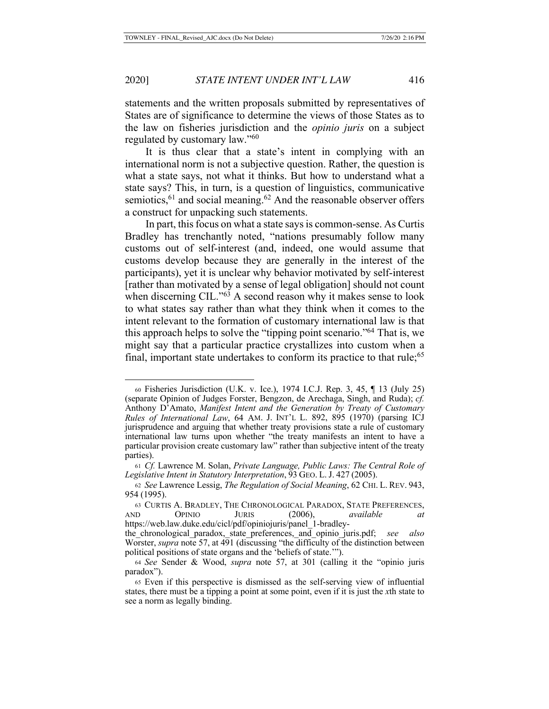statements and the written proposals submitted by representatives of States are of significance to determine the views of those States as to the law on fisheries jurisdiction and the *opinio juris* on a subject regulated by customary law."60

It is thus clear that a state's intent in complying with an international norm is not a subjective question. Rather, the question is what a state says, not what it thinks. But how to understand what a state says? This, in turn, is a question of linguistics, communicative semiotics,  $61$  and social meaning.  $62$  And the reasonable observer offers a construct for unpacking such statements.

In part, this focus on what a state says is common-sense. As Curtis Bradley has trenchantly noted, "nations presumably follow many customs out of self-interest (and, indeed, one would assume that customs develop because they are generally in the interest of the participants), yet it is unclear why behavior motivated by self-interest [rather than motivated by a sense of legal obligation] should not count when discerning CIL."<sup>63</sup> A second reason why it makes sense to look to what states say rather than what they think when it comes to the intent relevant to the formation of customary international law is that this approach helps to solve the "tipping point scenario."64 That is, we might say that a particular practice crystallizes into custom when a final, important state undertakes to conform its practice to that rule;  $65$ 

<sup>60</sup> Fisheries Jurisdiction (U.K. v. Ice.), 1974 I.C.J. Rep. 3, 45, ¶ 13 (July 25) (separate Opinion of Judges Forster, Bengzon, de Arechaga, Singh, and Ruda); *cf.*  Anthony D'Amato, *Manifest Intent and the Generation by Treaty of Customary Rules of International Law*, 64 AM. J. INT'L L. 892, 895 (1970) (parsing ICJ jurisprudence and arguing that whether treaty provisions state a rule of customary international law turns upon whether "the treaty manifests an intent to have a particular provision create customary law" rather than subjective intent of the treaty parties).

<sup>61</sup> *Cf.* Lawrence M. Solan, *Private Language, Public Laws: The Central Role of Legislative Intent in Statutory Interpretation*, 93 GEO. L. J. 427 (2005).

<sup>62</sup> *See* Lawrence Lessig, *The Regulation of Social Meaning*, 62 CHI. L. REV. 943, 954 (1995).

<sup>63</sup> CURTIS A. BRADLEY, THE CHRONOLOGICAL PARADOX, STATE PREFERENCES, AND OPINIO JURIS (2006), *available at* https://web.law.duke.edu/cicl/pdf/opiniojuris/panel\_1-bradley-

the\_chronological\_paradox,\_state\_preferences,\_and\_opinio\_juris.pdf; *see also* Worster, *supra* note 57, at 491 (discussing "the difficulty of the distinction between political positions of state organs and the 'beliefs of state.'").

<sup>64</sup> *See* Sender & Wood, *supra* note 57, at 301 (calling it the "opinio juris paradox").

<sup>65</sup> Even if this perspective is dismissed as the self-serving view of influential states, there must be a tipping a point at some point, even if it is just the *x*th state to see a norm as legally binding.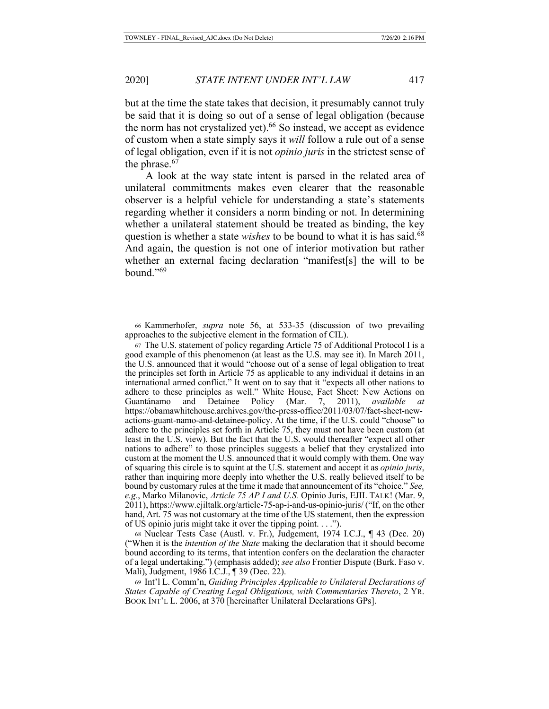but at the time the state takes that decision, it presumably cannot truly be said that it is doing so out of a sense of legal obligation (because the norm has not crystalized yet). $66$  So instead, we accept as evidence of custom when a state simply says it *will* follow a rule out of a sense of legal obligation, even if it is not *opinio juris* in the strictest sense of the phrase.<sup>67</sup>

A look at the way state intent is parsed in the related area of unilateral commitments makes even clearer that the reasonable observer is a helpful vehicle for understanding a state's statements regarding whether it considers a norm binding or not. In determining whether a unilateral statement should be treated as binding, the key question is whether a state *wishes* to be bound to what it is has said.<sup>68</sup> And again, the question is not one of interior motivation but rather whether an external facing declaration "manifest[s] the will to be bound."69

<sup>68</sup> Nuclear Tests Case (Austl. v. Fr.), Judgement, 1974 I.C.J., ¶ 43 (Dec. 20) ("When it is the *intention of the State* making the declaration that it should become bound according to its terms, that intention confers on the declaration the character of a legal undertaking.") (emphasis added); *see also* Frontier Dispute (Burk. Faso v. Mali), Judgment, 1986 I.C.J., ¶ 39 (Dec. 22).

<sup>66</sup> Kammerhofer, *supra* note 56, at 533-35 (discussion of two prevailing approaches to the subjective element in the formation of CIL).

<sup>67</sup> The U.S. statement of policy regarding Article 75 of Additional Protocol I is a good example of this phenomenon (at least as the U.S. may see it). In March 2011, the U.S. announced that it would "choose out of a sense of legal obligation to treat the principles set forth in Article 75 as applicable to any individual it detains in an international armed conflict." It went on to say that it "expects all other nations to adhere to these principles as well." White House, Fact Sheet: New Actions on Guantánamo and Detainee Policy (Mar. 7, 2011), *available at*  https://obamawhitehouse.archives.gov/the-press-office/2011/03/07/fact-sheet-newactions-guant-namo-and-detainee-policy. At the time, if the U.S. could "choose" to adhere to the principles set forth in Article 75, they must not have been custom (at least in the U.S. view). But the fact that the U.S. would thereafter "expect all other nations to adhere" to those principles suggests a belief that they crystalized into custom at the moment the U.S. announced that it would comply with them. One way of squaring this circle is to squint at the U.S. statement and accept it as *opinio juris*, rather than inquiring more deeply into whether the U.S. really believed itself to be bound by customary rules at the time it made that announcement of its "choice." *See, e.g.*, Marko Milanovic, *Article 75 AP I and U.S.* Opinio Juris, EJIL TALK! (Mar. 9, 2011), https://www.ejiltalk.org/article-75-ap-i-and-us-opinio-juris/ ("If, on the other hand, Art. 75 was not customary at the time of the US statement, then the expression of US opinio juris might take it over the tipping point. . . .").

<sup>69</sup> Int'l L. Comm'n, *Guiding Principles Applicable to Unilateral Declarations of States Capable of Creating Legal Obligations, with Commentaries Thereto*, 2 YR. BOOK INT'L L. 2006, at 370 [hereinafter Unilateral Declarations GPs].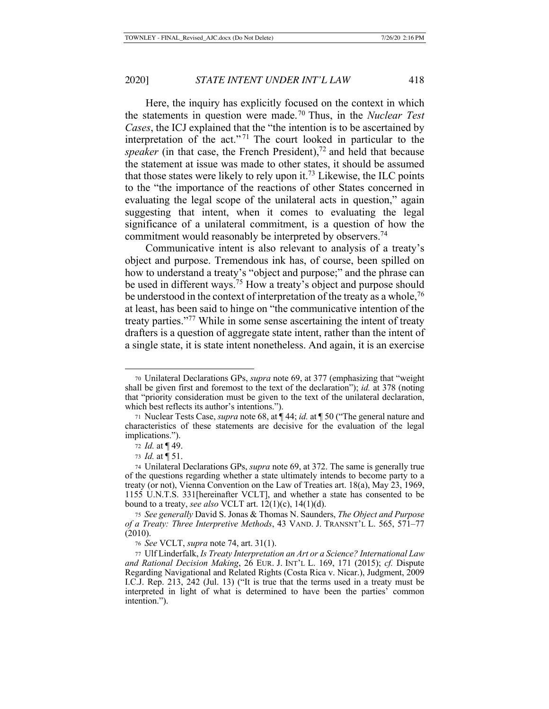Here, the inquiry has explicitly focused on the context in which the statements in question were made.70 Thus, in the *Nuclear Test Cases*, the ICJ explained that the "the intention is to be ascertained by interpretation of the act."<sup>71</sup> The court looked in particular to the *speaker* (in that case, the French President),<sup>72</sup> and held that because the statement at issue was made to other states, it should be assumed that those states were likely to rely upon it.<sup>73</sup> Likewise, the ILC points to the "the importance of the reactions of other States concerned in evaluating the legal scope of the unilateral acts in question," again suggesting that intent, when it comes to evaluating the legal significance of a unilateral commitment, is a question of how the commitment would reasonably be interpreted by observers.<sup>74</sup>

Communicative intent is also relevant to analysis of a treaty's object and purpose. Tremendous ink has, of course, been spilled on how to understand a treaty's "object and purpose;" and the phrase can be used in different ways.<sup>75</sup> How a treaty's object and purpose should be understood in the context of interpretation of the treaty as a whole,  $76$ at least, has been said to hinge on "the communicative intention of the treaty parties."77 While in some sense ascertaining the intent of treaty drafters is a question of aggregate state intent, rather than the intent of a single state, it is state intent nonetheless. And again, it is an exercise

<sup>70</sup> Unilateral Declarations GPs, *supra* note 69, at 377 (emphasizing that "weight shall be given first and foremost to the text of the declaration"); *id.* at 378 (noting that "priority consideration must be given to the text of the unilateral declaration, which best reflects its author's intentions.").

<sup>71</sup> Nuclear Tests Case, *supra* note 68, at ¶ 44; *id.* at ¶ 50 ("The general nature and characteristics of these statements are decisive for the evaluation of the legal implications.").

<sup>72</sup> *Id.* at ¶ 49.

<sup>73</sup> *Id.* at ¶ 51.

<sup>74</sup> Unilateral Declarations GPs, *supra* note 69, at 372. The same is generally true of the questions regarding whether a state ultimately intends to become party to a treaty (or not), Vienna Convention on the Law of Treaties art. 18(a), May 23, 1969, 1155 U.N.T.S. 331[hereinafter VCLT], and whether a state has consented to be bound to a treaty, *see also* VCLT art. 12(1)(c), 14(1)(d).

<sup>75</sup> *See generally* David S. Jonas & Thomas N. Saunders, *The Object and Purpose of a Treaty: Three Interpretive Methods*, 43 VAND. J. TRANSNT'L L. 565, 571–77 (2010).

<sup>76</sup> *See* VCLT, *supra* note 74, art. 31(1).

<sup>77</sup> Ulf Linderfalk, *Is Treaty Interpretation an Art or a Science? International Law and Rational Decision Making*, 26 EUR. J. INT'L L. 169, 171 (2015); *cf.* Dispute Regarding Navigational and Related Rights (Costa Rica v. Nicar.), Judgment, 2009 I.C.J. Rep. 213, 242 (Jul. 13) ("It is true that the terms used in a treaty must be interpreted in light of what is determined to have been the parties' common intention.").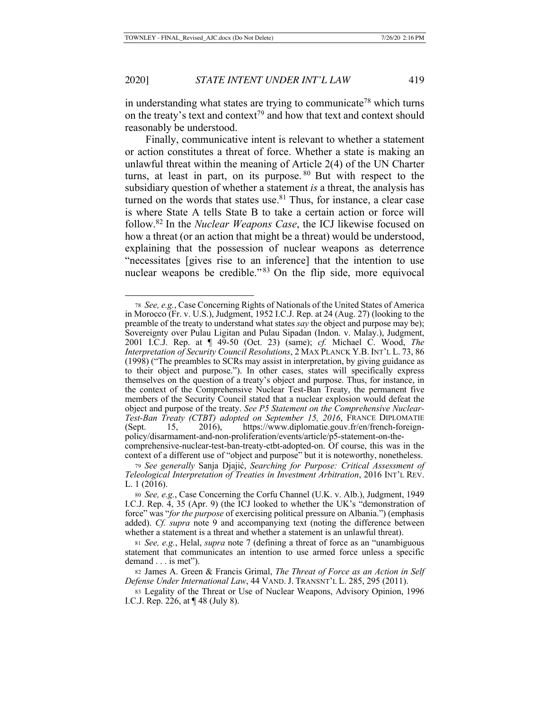in understanding what states are trying to communicate<sup>78</sup> which turns on the treaty's text and context<sup>79</sup> and how that text and context should reasonably be understood.

Finally, communicative intent is relevant to whether a statement or action constitutes a threat of force. Whether a state is making an unlawful threat within the meaning of Article 2(4) of the UN Charter turns, at least in part, on its purpose.  $80$  But with respect to the subsidiary question of whether a statement *is* a threat, the analysis has turned on the words that states use. $81$  Thus, for instance, a clear case is where State A tells State B to take a certain action or force will follow.82 In the *Nuclear Weapons Case*, the ICJ likewise focused on how a threat (or an action that might be a threat) would be understood, explaining that the possession of nuclear weapons as deterrence "necessitates [gives rise to an inference] that the intention to use nuclear weapons be credible."<sup>83</sup> On the flip side, more equivocal

<sup>78</sup> *See, e.g.*, Case Concerning Rights of Nationals of the United States of America in Morocco (Fr. v. U.S.), Judgment, 1952 I.C.J. Rep. at 24 (Aug. 27) (looking to the preamble of the treaty to understand what states *say* the object and purpose may be); Sovereignty over Pulau Ligitan and Pulau Sipadan (Indon. v. Malay.), Judgment, 2001 I.C.J. Rep. at ¶ 49-50 (Oct. 23) (same); *cf.* Michael C. Wood, *The Interpretation of Security Council Resolutions*, 2 MAX PLANCK Y.B. INT'L L. 73, 86 (1998) ("The preambles to SCRs may assist in interpretation, by giving guidance as to their object and purpose."). In other cases, states will specifically express themselves on the question of a treaty's object and purpose. Thus, for instance, in the context of the Comprehensive Nuclear Test-Ban Treaty, the permanent five members of the Security Council stated that a nuclear explosion would defeat the object and purpose of the treaty. *See P5 Statement on the Comprehensive Nuclear-Test-Ban Treaty (CTBT) adopted on September 15, 2016*, FRANCE DIPLOMATIE (Sept. 15, 2016), https://www.diplomatie.gouv.fr/en/french-foreignpolicy/disarmament-and-non-proliferation/events/article/p5-statement-on-thecomprehensive-nuclear-test-ban-treaty-ctbt-adopted-on. Of course, this was in the

context of a different use of "object and purpose" but it is noteworthy, nonetheless. <sup>79</sup> *See generally* Sanja Djajić, *Searching for Purpose: Critical Assessment of Teleological Interpretation of Treaties in Investment Arbitration*, 2016 INT'L REV. L. 1 (2016).

<sup>80</sup> *See, e.g.*, Case Concerning the Corfu Channel (U.K. v. Alb.), Judgment, 1949 I.C.J. Rep. 4, 35 (Apr. 9) (the ICJ looked to whether the UK's "demonstration of force" was "*for the purpose* of exercising political pressure on Albania.") (emphasis added). *Cf. supra* note 9 and accompanying text (noting the difference between whether a statement is a threat and whether a statement is an unlawful threat).

<sup>81</sup> *See, e.g.*, Helal, *supra* note 7 (defining a threat of force as an "unambiguous statement that communicates an intention to use armed force unless a specific demand . . . is met").

<sup>82</sup> James A. Green & Francis Grimal, *The Threat of Force as an Action in Self Defense Under International Law*, 44 VAND. J. TRANSNT'L L. 285, 295 (2011).

<sup>83</sup> Legality of the Threat or Use of Nuclear Weapons, Advisory Opinion, 1996 I.C.J. Rep. 226, at ¶ 48 (July 8).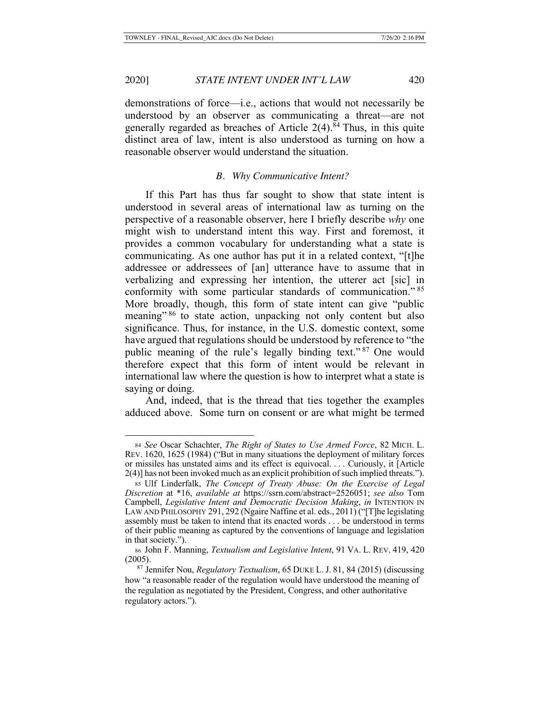demonstrations of force—i.e., actions that would not necessarily be understood by an observer as communicating a threat—are not generally regarded as breaches of Article  $2(4)$ .<sup>84</sup> Thus, in this quite distinct area of law, intent is also understood as turning on how a reasonable observer would understand the situation.

## *B. Why Communicative Intent?*

If this Part has thus far sought to show that state intent is understood in several areas of international law as turning on the perspective of a reasonable observer, here I briefly describe *why* one might wish to understand intent this way. First and foremost, it provides a common vocabulary for understanding what a state is communicating. As one author has put it in a related context, "[t]he addressee or addressees of [an] utterance have to assume that in verbalizing and expressing her intention, the utterer act [sic] in conformity with some particular standards of communication." <sup>85</sup> More broadly, though, this form of state intent can give "public meaning"<sup>86</sup> to state action, unpacking not only content but also significance. Thus, for instance, in the U.S. domestic context, some have argued that regulations should be understood by reference to "the public meaning of the rule's legally binding text." 87 One would therefore expect that this form of intent would be relevant in international law where the question is how to interpret what a state is saying or doing.

And, indeed, that is the thread that ties together the examples adduced above. Some turn on consent or are what might be termed

<sup>84</sup> *See* Oscar Schachter, *The Right of States to Use Armed Force*, 82 MICH. L. REV. 1620, 1625 (1984) ("But in many situations the deployment of military forces or missiles has unstated aims and its effect is equivocal. . . . Curiously, it [Article 2(4)] has not been invoked much as an explicit prohibition of such implied threats.").

<sup>85</sup> Ulf Linderfalk, *The Concept of Treaty Abuse: On the Exercise of Legal Discretion* at \*16, *available at* https://ssrn.com/abstract=2526051; *see also* Tom Campbell, *Legislative Intent and Democratic Decision Making*, *in* INTENTION IN LAW AND PHILOSOPHY 291, 292 (Ngaire Naffine et al. eds., 2011) ("[T]he legislating assembly must be taken to intend that its enacted words . . . be understood in terms of their public meaning as captured by the conventions of language and legislation in that society.").

<sup>86</sup> John F. Manning, *Textualism and Legislative Intent*, 91 VA. L. REV. 419, 420 (2005).

<sup>87</sup> Jennifer Nou, *Regulatory Textualism*, 65 DUKE L. J. 81, 84 (2015) (discussing how "a reasonable reader of the regulation would have understood the meaning of the regulation as negotiated by the President, Congress, and other authoritative regulatory actors.").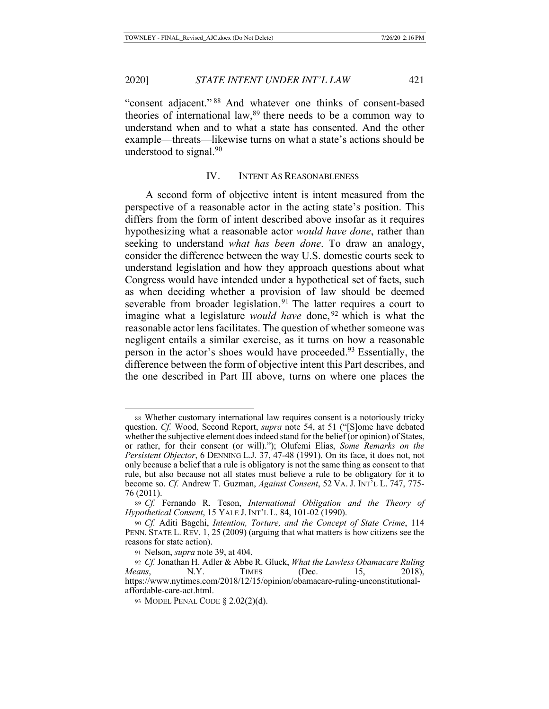"consent adjacent." 88 And whatever one thinks of consent-based theories of international law,  $89$  there needs to be a common way to understand when and to what a state has consented. And the other example—threats—likewise turns on what a state's actions should be understood to signal. $90$ 

# IV. INTENT AS REASONABLENESS

A second form of objective intent is intent measured from the perspective of a reasonable actor in the acting state's position. This differs from the form of intent described above insofar as it requires hypothesizing what a reasonable actor *would have done*, rather than seeking to understand *what has been done*. To draw an analogy, consider the difference between the way U.S. domestic courts seek to understand legislation and how they approach questions about what Congress would have intended under a hypothetical set of facts, such as when deciding whether a provision of law should be deemed severable from broader legislation.<sup>91</sup> The latter requires a court to imagine what a legislature *would have* done,<sup>92</sup> which is what the reasonable actor lens facilitates. The question of whether someone was negligent entails a similar exercise, as it turns on how a reasonable person in the actor's shoes would have proceeded.93 Essentially, the difference between the form of objective intent this Part describes, and the one described in Part III above, turns on where one places the

<sup>88</sup> Whether customary international law requires consent is a notoriously tricky question. *Cf.* Wood, Second Report, *supra* note 54, at 51 ("[S]ome have debated whether the subjective element does indeed stand for the belief (or opinion) of States, or rather, for their consent (or will)."); Olufemi Elias, *Some Remarks on the Persistent Objector*, 6 DENNING L.J. 37, 47-48 (1991). On its face, it does not, not only because a belief that a rule is obligatory is not the same thing as consent to that rule, but also because not all states must believe a rule to be obligatory for it to become so. *Cf.* Andrew T. Guzman, *Against Consent*, 52 VA. J. INT'L L. 747, 775- 76 (2011).

<sup>89</sup> *Cf.* Fernando R. Teson, *International Obligation and the Theory of Hypothetical Consent*, 15 YALE J. INT'L L. 84, 101-02 (1990).

<sup>90</sup> *Cf.* Aditi Bagchi, *Intention, Torture, and the Concept of State Crime*, 114 PENN. STATE L. REV. 1, 25 (2009) (arguing that what matters is how citizens see the reasons for state action).

<sup>91</sup> Nelson, *supra* note 39, at 404.

<sup>92</sup> *Cf.* Jonathan H. Adler & Abbe R. Gluck, *What the Lawless Obamacare Ruling Means*, N.Y. TIMES (Dec. 15, 2018), https://www.nytimes.com/2018/12/15/opinion/obamacare-ruling-unconstitutionalaffordable-care-act.html.

<sup>93</sup> MODEL PENAL CODE § 2.02(2)(d).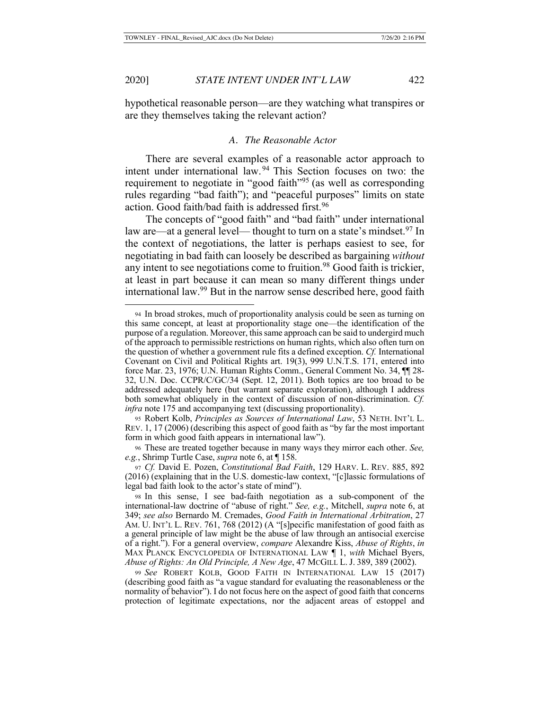hypothetical reasonable person—are they watching what transpires or are they themselves taking the relevant action?

#### *A. The Reasonable Actor*

There are several examples of a reasonable actor approach to intent under international law. 94 This Section focuses on two: the requirement to negotiate in "good faith"95 (as well as corresponding rules regarding "bad faith"); and "peaceful purposes" limits on state action. Good faith/bad faith is addressed first.<sup>96</sup>

The concepts of "good faith" and "bad faith" under international law are—at a general level— thought to turn on a state's mindset.<sup>97</sup> In the context of negotiations, the latter is perhaps easiest to see, for negotiating in bad faith can loosely be described as bargaining *without*  any intent to see negotiations come to fruition.<sup>98</sup> Good faith is trickier, at least in part because it can mean so many different things under international law.99 But in the narrow sense described here, good faith

<sup>94</sup> In broad strokes, much of proportionality analysis could be seen as turning on this same concept, at least at proportionality stage one—the identification of the purpose of a regulation. Moreover, this same approach can be said to undergird much of the approach to permissible restrictions on human rights, which also often turn on the question of whether a government rule fits a defined exception. *Cf.* International Covenant on Civil and Political Rights art. 19(3), 999 U.N.T.S. 171, entered into force Mar. 23, 1976; U.N. Human Rights Comm., General Comment No. 34, ¶¶ 28- 32, U.N. Doc. CCPR/C/GC/34 (Sept. 12, 2011). Both topics are too broad to be addressed adequately here (but warrant separate exploration), although I address both somewhat obliquely in the context of discussion of non-discrimination. *Cf. infra* note 175 and accompanying text (discussing proportionality).

<sup>95</sup> Robert Kolb, *Principles as Sources of International Law*, 53 NETH. INT'L L. REV. 1, 17 (2006) (describing this aspect of good faith as "by far the most important form in which good faith appears in international law").

<sup>96</sup> These are treated together because in many ways they mirror each other. *See, e.g.*, Shrimp Turtle Case, *supra* note 6, at ¶ 158.

<sup>97</sup> *Cf.* David E. Pozen, *Constitutional Bad Faith*, 129 HARV. L. REV. 885, 892 (2016) (explaining that in the U.S. domestic-law context, "[c]lassic formulations of legal bad faith look to the actor's state of mind").

<sup>98</sup> In this sense, I see bad-faith negotiation as a sub-component of the international-law doctrine of "abuse of right." *See, e.g.*, Mitchell, *supra* note 6, at 349; *see also* Bernardo M. Cremades, *Good Faith in International Arbitration*, 27 AM. U. INT'L L. REV. 761, 768 (2012) (A "[s]pecific manifestation of good faith as a general principle of law might be the abuse of law through an antisocial exercise of a right."). For a general overview, *compare* Alexandre Kiss, *Abuse of Rights*, *in* MAX PLANCK ENCYCLOPEDIA OF INTERNATIONAL LAW ¶ 1, *with* Michael Byers, *Abuse of Rights: An Old Principle, A New Age*, 47 MCGILL L. J. 389, 389 (2002).

<sup>99</sup> *See* ROBERT KOLB, GOOD FAITH IN INTERNATIONAL LAW 15 (2017) (describing good faith as "a vague standard for evaluating the reasonableness or the normality of behavior"). I do not focus here on the aspect of good faith that concerns protection of legitimate expectations, nor the adjacent areas of estoppel and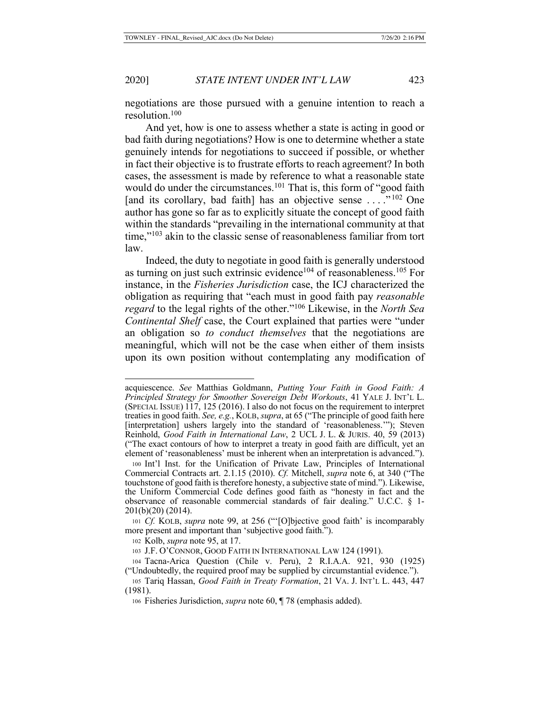negotiations are those pursued with a genuine intention to reach a resolution.100

And yet, how is one to assess whether a state is acting in good or bad faith during negotiations? How is one to determine whether a state genuinely intends for negotiations to succeed if possible, or whether in fact their objective is to frustrate efforts to reach agreement? In both cases, the assessment is made by reference to what a reasonable state would do under the circumstances.<sup>101</sup> That is, this form of "good faith" [and its corollary, bad faith] has an objective sense ...."<sup>102</sup> One author has gone so far as to explicitly situate the concept of good faith within the standards "prevailing in the international community at that time,"<sup>103</sup> akin to the classic sense of reasonableness familiar from tort law.

Indeed, the duty to negotiate in good faith is generally understood as turning on just such extrinsic evidence<sup>104</sup> of reasonableness.<sup>105</sup> For instance, in the *Fisheries Jurisdiction* case, the ICJ characterized the obligation as requiring that "each must in good faith pay *reasonable regard* to the legal rights of the other."106 Likewise, in the *North Sea Continental Shelf* case, the Court explained that parties were "under an obligation so *to conduct themselves* that the negotiations are meaningful, which will not be the case when either of them insists upon its own position without contemplating any modification of

acquiescence. *See* Matthias Goldmann, *Putting Your Faith in Good Faith: A Principled Strategy for Smoother Sovereign Debt Workouts*, 41 YALE J. INT'L L. (SPECIAL ISSUE) 117, 125 (2016). I also do not focus on the requirement to interpret treaties in good faith. *See, e.g.*, KOLB, *supra*, at 65 ("The principle of good faith here [interpretation] ushers largely into the standard of 'reasonableness.'"); Steven Reinhold, *Good Faith in International Law*, 2 UCL J. L. & JURIS. 40, 59 (2013) ("The exact contours of how to interpret a treaty in good faith are difficult, yet an element of 'reasonableness' must be inherent when an interpretation is advanced.").

<sup>100</sup> Int'l Inst. for the Unification of Private Law, Principles of International Commercial Contracts art. 2.1.15 (2010). *Cf.* Mitchell, *supra* note 6, at 340 ("The touchstone of good faith is therefore honesty, a subjective state of mind."). Likewise, the Uniform Commercial Code defines good faith as "honesty in fact and the observance of reasonable commercial standards of fair dealing." U.C.C. § 1- 201(b)(20) (2014).

<sup>101</sup> *Cf.* KOLB, *supra* note 99, at 256 ("'[O]bjective good faith' is incomparably more present and important than 'subjective good faith.").

<sup>102</sup> Kolb, *supra* note 95, at 17.

<sup>103</sup> J.F. O'CONNOR, GOOD FAITH IN INTERNATIONAL LAW 124 (1991).

<sup>104</sup> Tacna-Arica Question (Chile v. Peru), 2 R.I.A.A. 921, 930 (1925) ("Undoubtedly, the required proof may be supplied by circumstantial evidence.").

<sup>105</sup> Tariq Hassan, *Good Faith in Treaty Formation*, 21 VA. J. INT'L L. 443, 447 (1981).

<sup>106</sup> Fisheries Jurisdiction, *supra* note 60, ¶ 78 (emphasis added).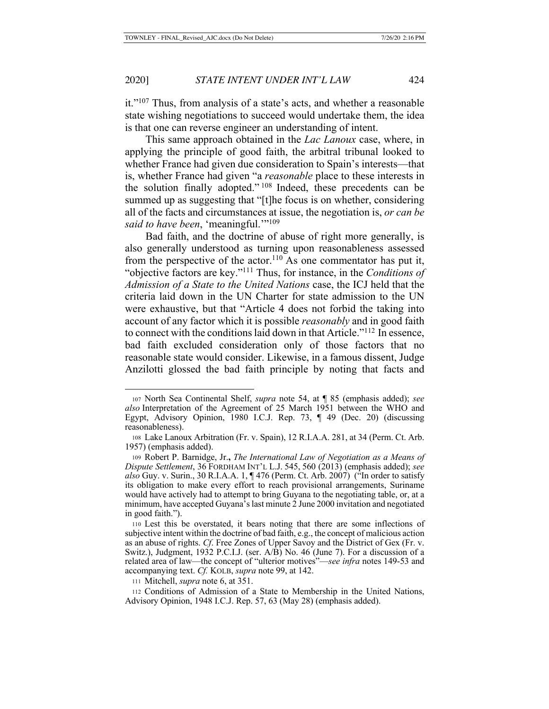it."107 Thus, from analysis of a state's acts, and whether a reasonable state wishing negotiations to succeed would undertake them, the idea is that one can reverse engineer an understanding of intent.

This same approach obtained in the *Lac Lanoux* case, where, in applying the principle of good faith, the arbitral tribunal looked to whether France had given due consideration to Spain's interests—that is, whether France had given "a *reasonable* place to these interests in the solution finally adopted." 108 Indeed, these precedents can be summed up as suggesting that "[t]he focus is on whether, considering all of the facts and circumstances at issue, the negotiation is, *or can be said to have been, 'meaningful.*'"<sup>109</sup>

Bad faith, and the doctrine of abuse of right more generally, is also generally understood as turning upon reasonableness assessed from the perspective of the actor.<sup>110</sup> As one commentator has put it, "objective factors are key."111 Thus, for instance, in the *Conditions of Admission of a State to the United Nations* case, the ICJ held that the criteria laid down in the UN Charter for state admission to the UN were exhaustive, but that "Article 4 does not forbid the taking into account of any factor which it is possible *reasonably* and in good faith to connect with the conditions laid down in that Article."112 In essence, bad faith excluded consideration only of those factors that no reasonable state would consider. Likewise, in a famous dissent, Judge Anzilotti glossed the bad faith principle by noting that facts and

<sup>107</sup> North Sea Continental Shelf, *supra* note 54, at ¶ 85 (emphasis added); *see also* Interpretation of the Agreement of 25 March 1951 between the WHO and Egypt, Advisory Opinion, 1980 I.C.J. Rep. 73, ¶ 49 (Dec. 20) (discussing reasonableness).

<sup>108</sup> Lake Lanoux Arbitration (Fr. v. Spain), 12 R.I.A.A. 281, at 34 (Perm. Ct. Arb. 1957) (emphasis added).

<sup>109</sup> Robert P. Barnidge, Jr.**,** *The International Law of Negotiation as a Means of Dispute Settlement*, 36 FORDHAM INT'L L.J. 545, 560 (2013) (emphasis added); *see also* Guy. v. Surin., 30 R.I.A.A. 1, ¶ 476 (Perm. Ct. Arb. 2007) ("In order to satisfy its obligation to make every effort to reach provisional arrangements, Suriname would have actively had to attempt to bring Guyana to the negotiating table, or, at a minimum, have accepted Guyana's last minute 2 June 2000 invitation and negotiated in good faith.").

<sup>110</sup> Lest this be overstated, it bears noting that there are some inflections of subjective intent within the doctrine of bad faith, e.g., the concept of malicious action as an abuse of rights. *Cf*. Free Zones of Upper Savoy and the District of Gex (Fr. v. Switz.), Judgment, 1932 P.C.I.J. (ser. A/B) No. 46 (June 7). For a discussion of a related area of law—the concept of "ulterior motives"—*see infra* notes 149-53 and accompanying text. *Cf.* KOLB, *supra* note 99, at 142.

<sup>111</sup> Mitchell, *supra* note 6, at 351.

<sup>112</sup> Conditions of Admission of a State to Membership in the United Nations, Advisory Opinion, 1948 I.C.J. Rep. 57, 63 (May 28) (emphasis added).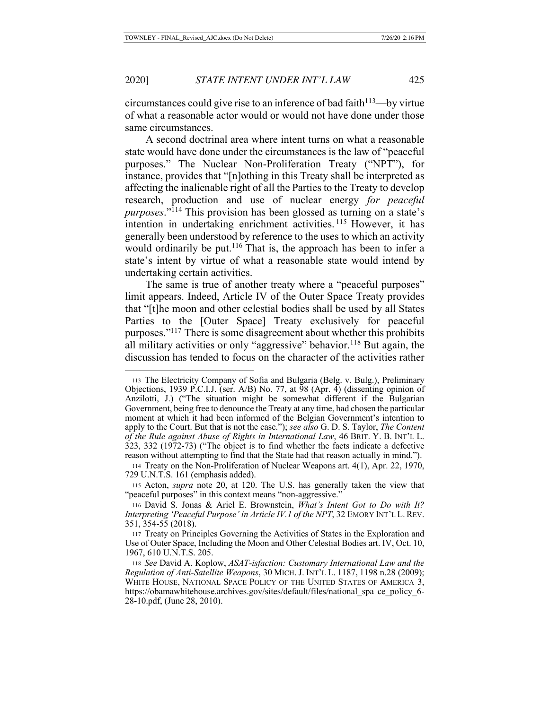circumstances could give rise to an inference of bad faith $113$ —by virtue of what a reasonable actor would or would not have done under those same circumstances.

A second doctrinal area where intent turns on what a reasonable state would have done under the circumstances is the law of "peaceful purposes." The Nuclear Non-Proliferation Treaty ("NPT"), for instance, provides that "[n]othing in this Treaty shall be interpreted as affecting the inalienable right of all the Parties to the Treaty to develop research, production and use of nuclear energy *for peaceful purposes*."114 This provision has been glossed as turning on a state's intention in undertaking enrichment activities. 115 However, it has generally been understood by reference to the uses to which an activity would ordinarily be put.<sup>116</sup> That is, the approach has been to infer a state's intent by virtue of what a reasonable state would intend by undertaking certain activities.

The same is true of another treaty where a "peaceful purposes" limit appears. Indeed, Article IV of the Outer Space Treaty provides that "[t]he moon and other celestial bodies shall be used by all States Parties to the [Outer Space] Treaty exclusively for peaceful purposes."117 There is some disagreement about whether this prohibits all military activities or only "aggressive" behavior.<sup>118</sup> But again, the discussion has tended to focus on the character of the activities rather

<sup>113</sup> The Electricity Company of Sofia and Bulgaria (Belg. v. Bulg.), Preliminary Objections, 1939 P.C.I.J. (ser. A/B) No. 77, at 98 (Apr. 4) (dissenting opinion of Anzilotti, J.) ("The situation might be somewhat different if the Bulgarian Government, being free to denounce the Treaty at any time, had chosen the particular moment at which it had been informed of the Belgian Government's intention to apply to the Court. But that is not the case."); *see also* G. D. S. Taylor, *The Content of the Rule against Abuse of Rights in International Law*, 46 BRIT. Y. B. INT'L L. 323, 332 (1972-73) ("The object is to find whether the facts indicate a defective reason without attempting to find that the State had that reason actually in mind.").

<sup>114</sup> Treaty on the Non-Proliferation of Nuclear Weapons art. 4(1), Apr. 22, 1970, 729 U.N.T.S. 161 (emphasis added).

<sup>115</sup> Acton, *supra* note 20, at 120. The U.S. has generally taken the view that "peaceful purposes" in this context means "non-aggressive."

<sup>116</sup> David S. Jonas & Ariel E. Brownstein, *What's Intent Got to Do with It? Interpreting 'Peaceful Purpose' in Article IV.1 of the NPT*, 32 EMORY INT'L L. REV. 351, 354-55 (2018).

<sup>117</sup> Treaty on Principles Governing the Activities of States in the Exploration and Use of Outer Space, Including the Moon and Other Celestial Bodies art. IV, Oct. 10, 1967, 610 U.N.T.S. 205.

<sup>118</sup> *See* David A. Koplow, *ASAT-isfaction: Customary International Law and the Regulation of Anti-Satellite Weapons*, 30 MICH. J. INT'L L. 1187, 1198 n.28 (2009); WHITE HOUSE, NATIONAL SPACE POLICY OF THE UNITED STATES OF AMERICA 3, https://obamawhitehouse.archives.gov/sites/default/files/national\_spa ce\_policy\_6- 28-10.pdf, (June 28, 2010).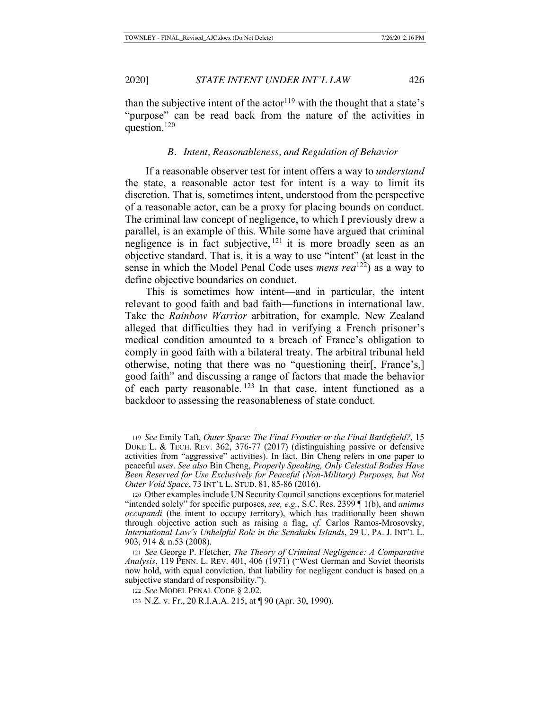than the subjective intent of the actor<sup>119</sup> with the thought that a state's "purpose" can be read back from the nature of the activities in question.<sup>120</sup>

#### *B. Intent, Reasonableness, and Regulation of Behavior*

If a reasonable observer test for intent offers a way to *understand*  the state, a reasonable actor test for intent is a way to limit its discretion. That is, sometimes intent, understood from the perspective of a reasonable actor, can be a proxy for placing bounds on conduct. The criminal law concept of negligence, to which I previously drew a parallel, is an example of this. While some have argued that criminal negligence is in fact subjective, <sup>121</sup> it is more broadly seen as an objective standard. That is, it is a way to use "intent" (at least in the sense in which the Model Penal Code uses *mens rea*122) as a way to define objective boundaries on conduct.

This is sometimes how intent—and in particular, the intent relevant to good faith and bad faith—functions in international law. Take the *Rainbow Warrior* arbitration, for example. New Zealand alleged that difficulties they had in verifying a French prisoner's medical condition amounted to a breach of France's obligation to comply in good faith with a bilateral treaty. The arbitral tribunal held otherwise, noting that there was no "questioning their[, France's,] good faith" and discussing a range of factors that made the behavior of each party reasonable. 123 In that case, intent functioned as a backdoor to assessing the reasonableness of state conduct.

<sup>119</sup> *See* Emily Taft, *Outer Space: The Final Frontier or the Final Battlefield?,* 15 DUKE L. & TECH. REV. 362, 376-77 (2017) (distinguishing passive or defensive activities from "aggressive" activities). In fact, Bin Cheng refers in one paper to peaceful *uses*. *See also* Bin Cheng, *Properly Speaking, Only Celestial Bodies Have Been Reserved for Use Exclusively for Peaceful (Non-Military) Purposes, but Not Outer Void Space*, 73 INT'L L. STUD. 81, 85-86 (2016).

<sup>120</sup> Other examples include UN Security Council sanctions exceptions for materiel "intended solely" for specific purposes, *see, e.g.*, S.C. Res. 2399 ¶ 1(b), and *animus occupandi* (the intent to occupy territory), which has traditionally been shown through objective action such as raising a flag, *cf.* Carlos Ramos-Mrosovsky, *International Law's Unhelpful Role in the Senakaku Islands*, 29 U. PA. J. INT'L L. 903, 914 & n.53 (2008).

<sup>121</sup> *See* George P. Fletcher, *The Theory of Criminal Negligence: A Comparative Analysis*, 119 PENN. L. REV. 401, 406 (1971) ("West German and Soviet theorists now hold, with equal conviction, that liability for negligent conduct is based on a subjective standard of responsibility.").

<sup>122</sup> *See* MODEL PENAL CODE § 2.02.

<sup>123</sup> N.Z. v. Fr., 20 R.I.A.A. 215, at ¶ 90 (Apr. 30, 1990).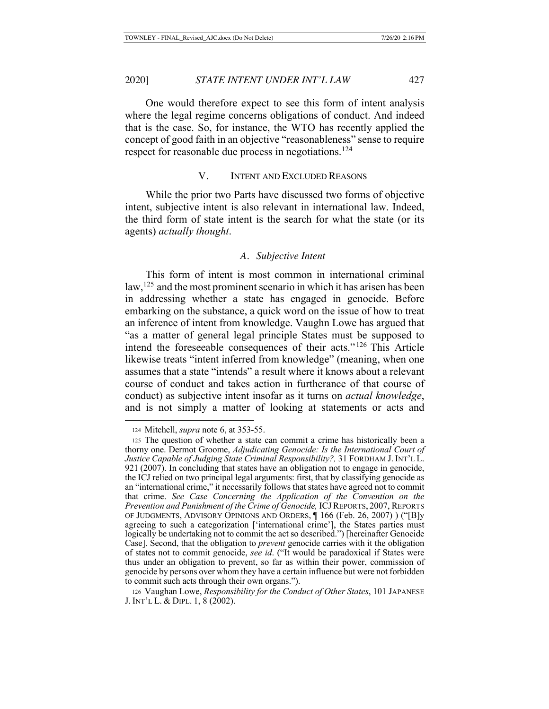One would therefore expect to see this form of intent analysis where the legal regime concerns obligations of conduct. And indeed that is the case. So, for instance, the WTO has recently applied the concept of good faith in an objective "reasonableness" sense to require respect for reasonable due process in negotiations.<sup>124</sup>

# V. INTENT AND EXCLUDED REASONS

While the prior two Parts have discussed two forms of objective intent, subjective intent is also relevant in international law. Indeed, the third form of state intent is the search for what the state (or its agents) *actually thought*.

# *A. Subjective Intent*

This form of intent is most common in international criminal law, <sup>125</sup> and the most prominent scenario in which it has arisen has been in addressing whether a state has engaged in genocide. Before embarking on the substance, a quick word on the issue of how to treat an inference of intent from knowledge. Vaughn Lowe has argued that "as a matter of general legal principle States must be supposed to intend the foreseeable consequences of their acts." 126 This Article likewise treats "intent inferred from knowledge" (meaning, when one assumes that a state "intends" a result where it knows about a relevant course of conduct and takes action in furtherance of that course of conduct) as subjective intent insofar as it turns on *actual knowledge*, and is not simply a matter of looking at statements or acts and

<sup>124</sup> Mitchell, *supra* note 6, at 353-55.

<sup>125</sup> The question of whether a state can commit a crime has historically been a thorny one. Dermot Groome, *Adjudicating Genocide: Is the International Court of Justice Capable of Judging State Criminal Responsibility?,* 31 FORDHAM J. INT'L L. 921 (2007). In concluding that states have an obligation not to engage in genocide, the ICJ relied on two principal legal arguments: first, that by classifying genocide as an "international crime," it necessarily follows that states have agreed not to commit that crime. *See Case Concerning the Application of the Convention on the Prevention and Punishment of the Crime of Genocide, ICJ REPORTS, 2007, REPORTS* OF JUDGMENTS, ADVISORY OPINIONS AND ORDERS, ¶ 166 (Feb. 26, 2007) ) ("[B]y agreeing to such a categorization ['international crime'], the States parties must logically be undertaking not to commit the act so described.") [hereinafter Genocide Case]. Second, that the obligation to *prevent* genocide carries with it the obligation of states not to commit genocide, *see id*. ("It would be paradoxical if States were thus under an obligation to prevent, so far as within their power, commission of genocide by persons over whom they have a certain influence but were not forbidden to commit such acts through their own organs.").

<sup>126</sup> Vaughan Lowe, *Responsibility for the Conduct of Other States*, 101 JAPANESE J. INT'L L. & DIPL. 1, 8 (2002).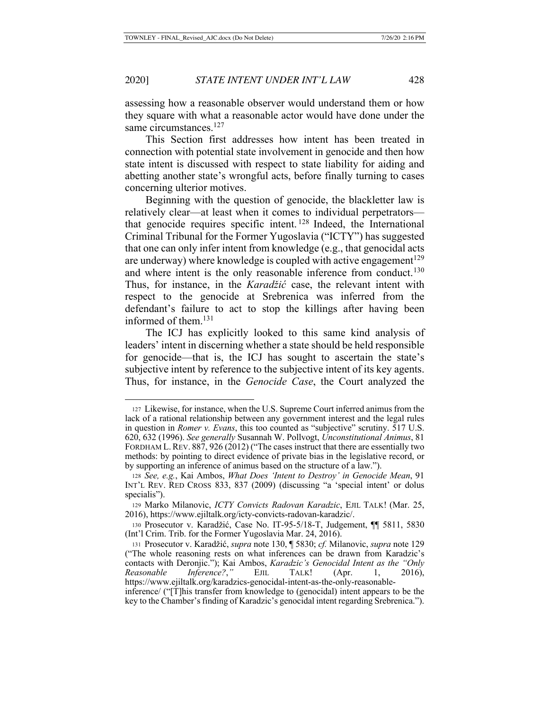assessing how a reasonable observer would understand them or how they square with what a reasonable actor would have done under the same circumstances.<sup>127</sup>

This Section first addresses how intent has been treated in connection with potential state involvement in genocide and then how state intent is discussed with respect to state liability for aiding and abetting another state's wrongful acts, before finally turning to cases concerning ulterior motives.

Beginning with the question of genocide, the blackletter law is relatively clear—at least when it comes to individual perpetrators that genocide requires specific intent. 128 Indeed, the International Criminal Tribunal for the Former Yugoslavia ("ICTY") has suggested that one can only infer intent from knowledge (e.g., that genocidal acts are underway) where knowledge is coupled with active engagement<sup>129</sup> and where intent is the only reasonable inference from conduct.<sup>130</sup> Thus, for instance, in the *Karadžić* case, the relevant intent with respect to the genocide at Srebrenica was inferred from the defendant's failure to act to stop the killings after having been informed of them.131

The ICJ has explicitly looked to this same kind analysis of leaders' intent in discerning whether a state should be held responsible for genocide—that is, the ICJ has sought to ascertain the state's subjective intent by reference to the subjective intent of its key agents. Thus, for instance, in the *Genocide Case*, the Court analyzed the

<sup>127</sup> Likewise, for instance, when the U.S. Supreme Court inferred animus from the lack of a rational relationship between any government interest and the legal rules in question in *Romer v. Evans*, this too counted as "subjective" scrutiny. 517 U.S. 620, 632 (1996). *See generally* Susannah W. Pollvogt, *Unconstitutional Animus*, 81 FORDHAM L. REV. 887, 926 (2012) ("The cases instruct that there are essentially two methods: by pointing to direct evidence of private bias in the legislative record, or by supporting an inference of animus based on the structure of a law.").

<sup>128</sup> *See, e.g.*, Kai Ambos, *What Does 'Intent to Destroy' in Genocide Mean*, 91 INT'L REV. RED CROSS 833, 837 (2009) (discussing "a 'special intent' or dolus specialis").

<sup>129</sup> Marko Milanovic, *ICTY Convicts Radovan Karadzic*, EJIL TALK! (Mar. 25, 2016), https://www.ejiltalk.org/icty-convicts-radovan-karadzic/.

<sup>130</sup> Prosecutor v. Karadžić, Case No. IT-95-5/18-T, Judgement, ¶¶ 5811, 5830 (Int'l Crim. Trib. for the Former Yugoslavia Mar. 24, 2016).

<sup>131</sup> Prosecutor v. Karadžić, *supra* note 130, ¶ 5830; *cf.* Milanovic, *supra* note 129 ("The whole reasoning rests on what inferences can be drawn from Karadzic's contacts with Deronjic."); Kai Ambos, *Karadzic's Genocidal Intent as the "Only Reasonable Inference?*,*"* EJIL TALK! (Apr. 1, 2016), https://www.ejiltalk.org/karadzics-genocidal-intent-as-the-only-reasonable-

inference/ ("[T]his transfer from knowledge to (genocidal) intent appears to be the key to the Chamber's finding of Karadzic's genocidal intent regarding Srebrenica.").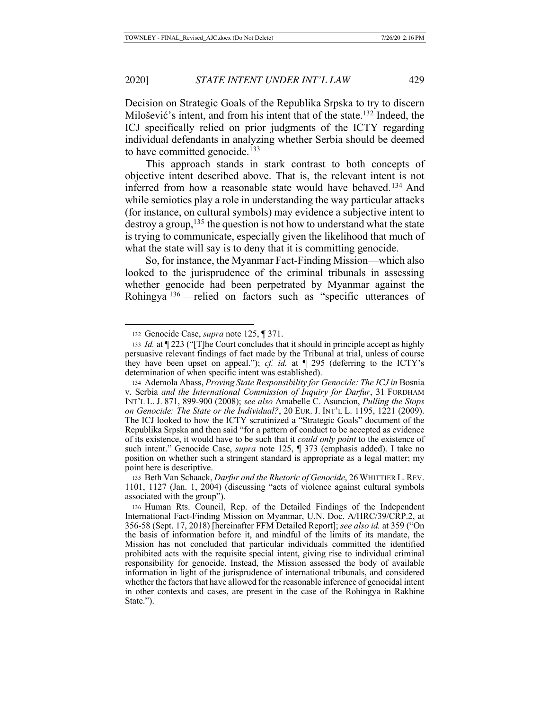Decision on Strategic Goals of the Republika Srpska to try to discern Milošević's intent, and from his intent that of the state.<sup>132</sup> Indeed, the ICJ specifically relied on prior judgments of the ICTY regarding individual defendants in analyzing whether Serbia should be deemed to have committed genocide.<sup>133</sup>

This approach stands in stark contrast to both concepts of objective intent described above. That is, the relevant intent is not inferred from how a reasonable state would have behaved.<sup>134</sup> And while semiotics play a role in understanding the way particular attacks (for instance, on cultural symbols) may evidence a subjective intent to destroy a group,  $^{135}$  the question is not how to understand what the state is trying to communicate, especially given the likelihood that much of what the state will say is to deny that it is committing genocide.

So, for instance, the Myanmar Fact-Finding Mission—which also looked to the jurisprudence of the criminal tribunals in assessing whether genocide had been perpetrated by Myanmar against the Rohingya <sup>136</sup> —relied on factors such as "specific utterances of

<sup>132</sup> Genocide Case, *supra* note 125, ¶ 371.

<sup>133</sup> *Id.* at ¶ 223 ("[T]he Court concludes that it should in principle accept as highly persuasive relevant findings of fact made by the Tribunal at trial, unless of course they have been upset on appeal."); *cf. id.* at ¶ 295 (deferring to the ICTY's determination of when specific intent was established).

<sup>134</sup> Ademola Abass, *Proving State Responsibility for Genocide: The ICJ in* Bosnia v. Serbia *and the International Commission of Inquiry for Darfur*, 31 FORDHAM INT'L L. J. 871, 899-900 (2008); *see also* Amabelle C. Asuncion, *Pulling the Stops on Genocide: The State or the Individual?*, 20 EUR. J. INT'L L. 1195, 1221 (2009). The ICJ looked to how the ICTY scrutinized a "Strategic Goals" document of the Republika Srpska and then said "for a pattern of conduct to be accepted as evidence of its existence, it would have to be such that it *could only point* to the existence of such intent." Genocide Case, *supra* note 125, ¶ 373 (emphasis added). I take no position on whether such a stringent standard is appropriate as a legal matter; my point here is descriptive.

<sup>135</sup> Beth Van Schaack, *Darfur and the Rhetoric of Genocide*, 26 WHITTIER L.REV. 1101, 1127 (Jan. 1, 2004) (discussing "acts of violence against cultural symbols associated with the group").

<sup>136</sup> Human Rts. Council, Rep. of the Detailed Findings of the Independent International Fact-Finding Mission on Myanmar, U.N. Doc. A/HRC/39/CRP.2, at 356-58 (Sept. 17, 2018) [hereinafter FFM Detailed Report]; *see also id.* at 359 ("On the basis of information before it, and mindful of the limits of its mandate, the Mission has not concluded that particular individuals committed the identified prohibited acts with the requisite special intent, giving rise to individual criminal responsibility for genocide. Instead, the Mission assessed the body of available information in light of the jurisprudence of international tribunals, and considered whether the factors that have allowed for the reasonable inference of genocidal intent in other contexts and cases, are present in the case of the Rohingya in Rakhine State.").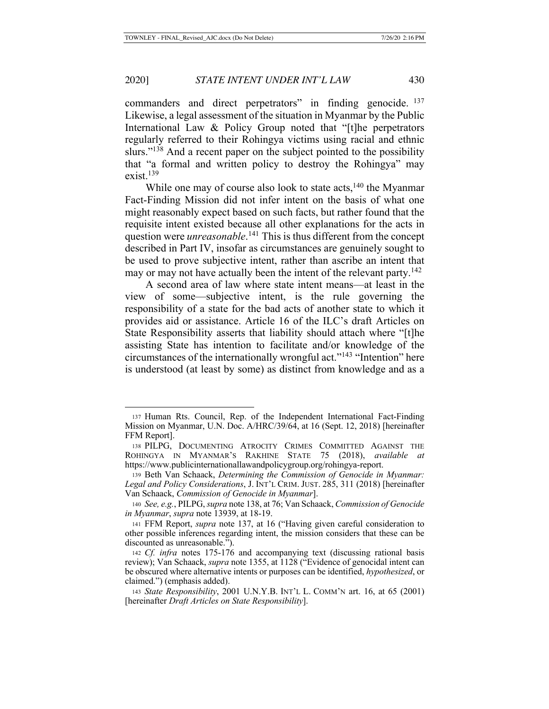commanders and direct perpetrators" in finding genocide. <sup>137</sup> Likewise, a legal assessment of the situation in Myanmar by the Public International Law & Policy Group noted that "[t]he perpetrators regularly referred to their Rohingya victims using racial and ethnic slurs."<sup>138</sup> And a recent paper on the subject pointed to the possibility that "a formal and written policy to destroy the Rohingya" may exist. $139$ 

While one may of course also look to state acts,  $140$  the Myanmar Fact-Finding Mission did not infer intent on the basis of what one might reasonably expect based on such facts, but rather found that the requisite intent existed because all other explanations for the acts in question were *unreasonable*. <sup>141</sup> This is thus different from the concept described in Part IV, insofar as circumstances are genuinely sought to be used to prove subjective intent, rather than ascribe an intent that may or may not have actually been the intent of the relevant party.<sup>142</sup>

A second area of law where state intent means—at least in the view of some—subjective intent, is the rule governing the responsibility of a state for the bad acts of another state to which it provides aid or assistance. Article 16 of the ILC's draft Articles on State Responsibility asserts that liability should attach where "[t]he assisting State has intention to facilitate and/or knowledge of the circumstances of the internationally wrongful act."143 "Intention" here is understood (at least by some) as distinct from knowledge and as a

<sup>137</sup> Human Rts. Council, Rep. of the Independent International Fact-Finding Mission on Myanmar, U.N. Doc. A/HRC/39/64, at 16 (Sept. 12, 2018) [hereinafter FFM Report].

<sup>138</sup> PILPG, DOCUMENTING ATROCITY CRIMES COMMITTED AGAINST THE ROHINGYA IN MYANMAR'S RAKHINE STATE 75 (2018), *available at* https://www.publicinternationallawandpolicygroup.org/rohingya-report.

<sup>139</sup> Beth Van Schaack, *Determining the Commission of Genocide in Myanmar: Legal and Policy Considerations*, J. INT'L CRIM. JUST. 285, 311 (2018) [hereinafter Van Schaack, *Commission of Genocide in Myanmar*].

<sup>140</sup> *See, e.g.*, PILPG, *supra* note 138, at 76; Van Schaack, *Commission of Genocide in Myanmar*, *supra* note 13939, at 18-19.

<sup>141</sup> FFM Report, *supra* note 137, at 16 ("Having given careful consideration to other possible inferences regarding intent, the mission considers that these can be discounted as unreasonable.").

<sup>142</sup> *Cf. infra* notes 175-176 and accompanying text (discussing rational basis review); Van Schaack, *supra* note 1355, at 1128 ("Evidence of genocidal intent can be obscured where alternative intents or purposes can be identified, *hypothesized*, or claimed.") (emphasis added).

<sup>143</sup> *State Responsibility*, 2001 U.N.Y.B. INT'L L. COMM'N art. 16, at 65 (2001) [hereinafter *Draft Articles on State Responsibility*].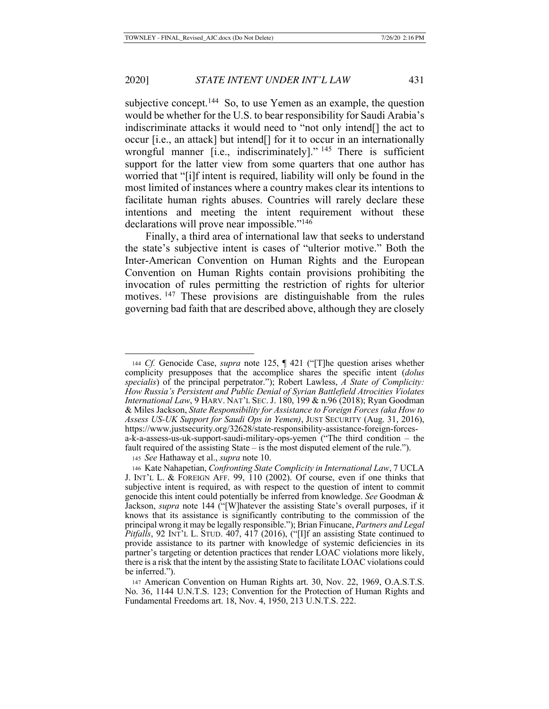subjective concept.<sup>144</sup> So, to use Yemen as an example, the question would be whether for the U.S. to bear responsibility for Saudi Arabia's indiscriminate attacks it would need to "not only intend[] the act to occur [i.e., an attack] but intend[] for it to occur in an internationally wrongful manner [i.e., indiscriminately]."<sup>145</sup> There is sufficient support for the latter view from some quarters that one author has worried that "[i]f intent is required, liability will only be found in the most limited of instances where a country makes clear its intentions to facilitate human rights abuses. Countries will rarely declare these intentions and meeting the intent requirement without these declarations will prove near impossible."146

Finally, a third area of international law that seeks to understand the state's subjective intent is cases of "ulterior motive." Both the Inter-American Convention on Human Rights and the European Convention on Human Rights contain provisions prohibiting the invocation of rules permitting the restriction of rights for ulterior motives. <sup>147</sup> These provisions are distinguishable from the rules governing bad faith that are described above, although they are closely

<sup>145</sup> *See* Hathaway et al., *supra* note 10.

<sup>144</sup> *Cf.* Genocide Case, *supra* note 125, ¶ 421 ("[T]he question arises whether complicity presupposes that the accomplice shares the specific intent (*dolus specialis*) of the principal perpetrator."); Robert Lawless, *A State of Complicity: How Russia's Persistent and Public Denial of Syrian Battlefield Atrocities Violates International Law*, 9 HARV. NAT'L SEC. J. 180, 199 & n.96 (2018); Ryan Goodman & Miles Jackson, *State Responsibility for Assistance to Foreign Forces (aka How to Assess US-UK Support for Saudi Ops in Yemen)*, JUST SECURITY (Aug. 31, 2016), https://www.justsecurity.org/32628/state-responsibility-assistance-foreign-forcesa-k-a-assess-us-uk-support-saudi-military-ops-yemen ("The third condition – the fault required of the assisting State – is the most disputed element of the rule.").

<sup>146</sup> Kate Nahapetian, *Confronting State Complicity in International Law*, 7 UCLA J. INT'L L. & FOREIGN AFF. 99, 110 (2002). Of course, even if one thinks that subjective intent is required, as with respect to the question of intent to commit genocide this intent could potentially be inferred from knowledge. *See* Goodman & Jackson, *supra* note 144 ("[W]hatever the assisting State's overall purposes, if it knows that its assistance is significantly contributing to the commission of the principal wrong it may be legally responsible."); Brian Finucane, *Partners and Legal Pitfalls*, 92 INT'L L. STUD. 407, 417 (2016), ("[I]f an assisting State continued to provide assistance to its partner with knowledge of systemic deficiencies in its partner's targeting or detention practices that render LOAC violations more likely, there is a risk that the intent by the assisting State to facilitate LOAC violations could be inferred.").

<sup>147</sup> American Convention on Human Rights art. 30, Nov. 22, 1969, O.A.S.T.S. No. 36, 1144 U.N.T.S. 123; Convention for the Protection of Human Rights and Fundamental Freedoms art. 18, Nov. 4, 1950, 213 U.N.T.S. 222.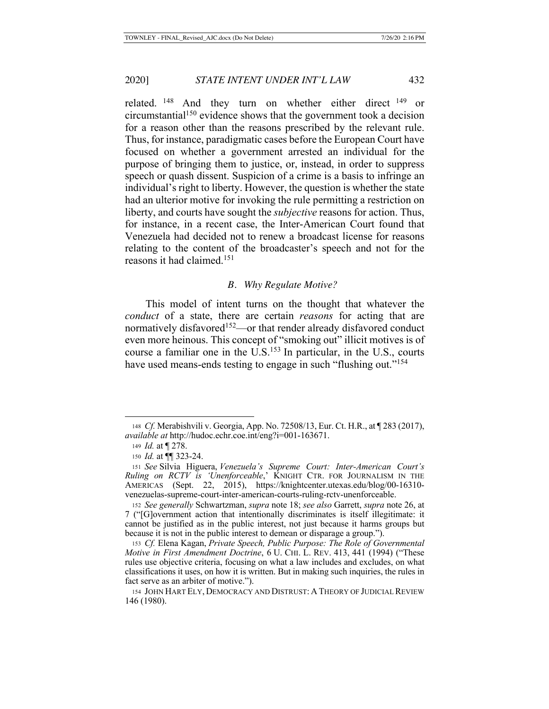related. <sup>148</sup> And they turn on whether either direct <sup>149</sup> or circumstantial150 evidence shows that the government took a decision for a reason other than the reasons prescribed by the relevant rule. Thus, for instance, paradigmatic cases before the European Court have focused on whether a government arrested an individual for the purpose of bringing them to justice, or, instead, in order to suppress speech or quash dissent. Suspicion of a crime is a basis to infringe an individual's right to liberty. However, the question is whether the state had an ulterior motive for invoking the rule permitting a restriction on liberty, and courts have sought the *subjective* reasons for action. Thus, for instance, in a recent case, the Inter-American Court found that Venezuela had decided not to renew a broadcast license for reasons relating to the content of the broadcaster's speech and not for the reasons it had claimed.151

### *B. Why Regulate Motive?*

This model of intent turns on the thought that whatever the *conduct* of a state, there are certain *reasons* for acting that are normatively disfavored<sup>152</sup>—or that render already disfavored conduct even more heinous. This concept of "smoking out" illicit motives is of course a familiar one in the  $U.S.<sup>153</sup>$  In particular, in the U.S., courts have used means-ends testing to engage in such "flushing out."<sup>154</sup>

<sup>148</sup> *Cf.* Merabishvili v. Georgia, App. No. 72508/13, Eur. Ct. H.R., at ¶ 283 (2017), *available at* http://hudoc.echr.coe.int/eng?i=001-163671.

<sup>149</sup> *Id.* at ¶ 278.

<sup>150</sup> *Id.* at ¶¶ 323-24.

<sup>151</sup> *See* Silvia Higuera, *Venezuela's Supreme Court: Inter-American Court's Ruling on RCTV is 'Unenforceable*,' KNIGHT CTR. FOR JOURNALISM IN THE AMERICAS (Sept. 22, 2015), https://knightcenter.utexas.edu/blog/00-16310 venezuelas-supreme-court-inter-american-courts-ruling-rctv-unenforceable.

<sup>152</sup> *See generally* Schwartzman, *supra* note 18; *see also* Garrett, *supra* note 26, at 7 ("[G]overnment action that intentionally discriminates is itself illegitimate: it cannot be justified as in the public interest, not just because it harms groups but because it is not in the public interest to demean or disparage a group.").

<sup>153</sup> *Cf.* Elena Kagan, *Private Speech, Public Purpose: The Role of Governmental Motive in First Amendment Doctrine*, 6 U. CHI. L. REV. 413, 441 (1994) ("These rules use objective criteria, focusing on what a law includes and excludes, on what classifications it uses, on how it is written. But in making such inquiries, the rules in fact serve as an arbiter of motive.").

<sup>154</sup> JOHN HART ELY, DEMOCRACY AND DISTRUST: A THEORY OF JUDICIAL REVIEW 146 (1980).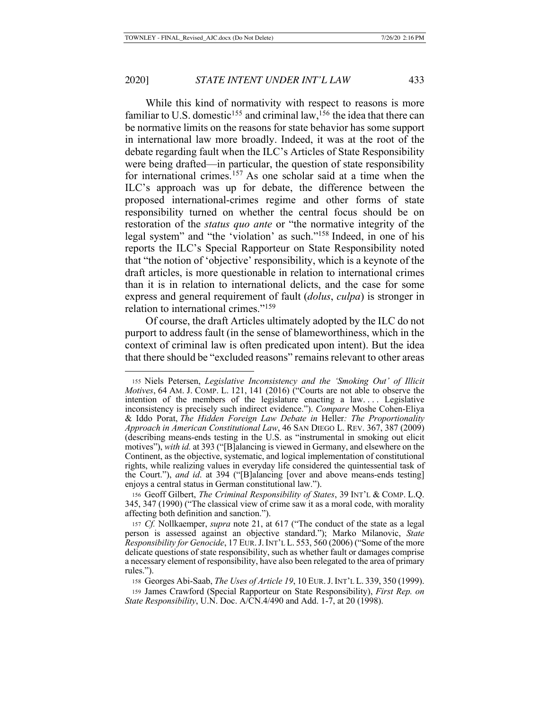While this kind of normativity with respect to reasons is more familiar to U.S. domestic<sup>155</sup> and criminal law,<sup>156</sup> the idea that there can be normative limits on the reasons for state behavior has some support in international law more broadly. Indeed, it was at the root of the debate regarding fault when the ILC's Articles of State Responsibility were being drafted—in particular, the question of state responsibility for international crimes.<sup>157</sup> As one scholar said at a time when the ILC's approach was up for debate, the difference between the proposed international-crimes regime and other forms of state responsibility turned on whether the central focus should be on restoration of the *status quo ante* or "the normative integrity of the legal system" and "the 'violation' as such."158 Indeed, in one of his reports the ILC's Special Rapporteur on State Responsibility noted that "the notion of 'objective' responsibility, which is a keynote of the draft articles, is more questionable in relation to international crimes than it is in relation to international delicts, and the case for some express and general requirement of fault (*dolus*, *culpa*) is stronger in relation to international crimes."159

Of course, the draft Articles ultimately adopted by the ILC do not purport to address fault (in the sense of blameworthiness, which in the context of criminal law is often predicated upon intent). But the idea that there should be "excluded reasons" remains relevant to other areas

<sup>155</sup> Niels Petersen, *Legislative Inconsistency and the 'Smoking Out' of Illicit Motives*, 64 AM. J. COMP. L. 121, 141 (2016) ("Courts are not able to observe the intention of the members of the legislature enacting a law. . . . Legislative inconsistency is precisely such indirect evidence."). *Compare* Moshe Cohen-Eliya & Iddo Porat, *The Hidden Foreign Law Debate in* Heller*: The Proportionality Approach in American Constitutional Law*, 46 SAN DIEGO L. REV. 367, 387 (2009) (describing means-ends testing in the U.S. as "instrumental in smoking out elicit motives"), *with id.* at 393 ("[B]alancing is viewed in Germany, and elsewhere on the Continent, as the objective, systematic, and logical implementation of constitutional rights, while realizing values in everyday life considered the quintessential task of the Court."), *and id*. at 394 ("[B]alancing [over and above means-ends testing] enjoys a central status in German constitutional law.").

<sup>156</sup> Geoff Gilbert, *The Criminal Responsibility of States*, 39 INT'L & COMP. L.Q. 345, 347 (1990) ("The classical view of crime saw it as a moral code, with morality affecting both definition and sanction.").

<sup>157</sup> *Cf.* Nollkaemper, *supra* note 21, at 617 ("The conduct of the state as a legal person is assessed against an objective standard."); Marko Milanovic, *State Responsibility for Genocide*, 17 EUR.J.INT'L L. 553, 560 (2006) ("Some of the more delicate questions of state responsibility, such as whether fault or damages comprise a necessary element of responsibility, have also been relegated to the area of primary rules.").

<sup>158</sup> Georges Abi-Saab, *The Uses of Article 19*, 10 EUR.J.INT'L L. 339, 350 (1999).

<sup>159</sup> James Crawford (Special Rapporteur on State Responsibility), *First Rep. on State Responsibility*, U.N. Doc. A/CN.4/490 and Add. 1-7, at 20 (1998).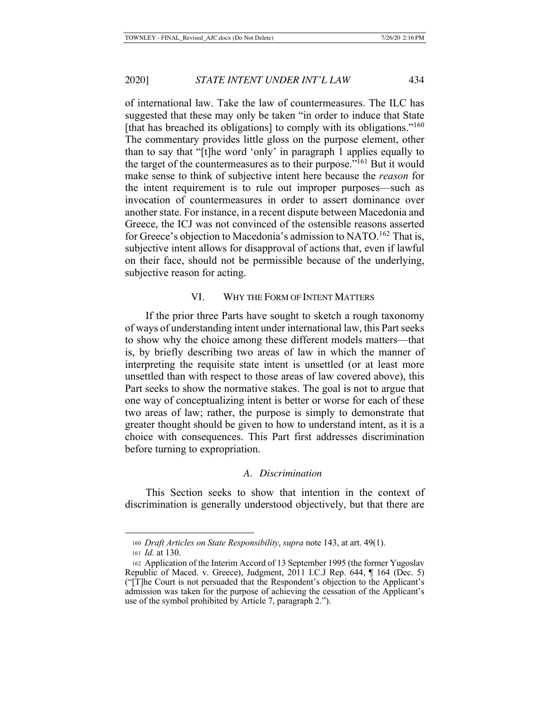of international law. Take the law of countermeasures. The ILC has suggested that these may only be taken "in order to induce that State [that has breached its obligations] to comply with its obligations."<sup>160</sup> The commentary provides little gloss on the purpose element, other than to say that "[t]he word 'only' in paragraph 1 applies equally to the target of the countermeasures as to their purpose."161 But it would make sense to think of subjective intent here because the *reason* for the intent requirement is to rule out improper purposes—such as invocation of countermeasures in order to assert dominance over another state. For instance, in a recent dispute between Macedonia and Greece, the ICJ was not convinced of the ostensible reasons asserted for Greece's objection to Macedonia's admission to NATO.<sup>162</sup> That is, subjective intent allows for disapproval of actions that, even if lawful on their face, should not be permissible because of the underlying, subjective reason for acting.

## VI. WHY THE FORM OF INTENT MATTERS

If the prior three Parts have sought to sketch a rough taxonomy of ways of understanding intent under international law, this Part seeks to show why the choice among these different models matters—that is, by briefly describing two areas of law in which the manner of interpreting the requisite state intent is unsettled (or at least more unsettled than with respect to those areas of law covered above), this Part seeks to show the normative stakes. The goal is not to argue that one way of conceptualizing intent is better or worse for each of these two areas of law; rather, the purpose is simply to demonstrate that greater thought should be given to how to understand intent, as it is a choice with consequences. This Part first addresses discrimination before turning to expropriation.

#### *A. Discrimination*

This Section seeks to show that intention in the context of discrimination is generally understood objectively, but that there are

<sup>160</sup> *Draft Articles on State Responsibility*, *supra* note 143, at art. 49(1).

<sup>161</sup> *Id.* at 130.

<sup>162</sup> Application of the Interim Accord of 13 September 1995 (the former Yugoslav Republic of Maced. v. Greece), Judgment, 2011 I.C.J Rep. 644, ¶ 164 (Dec. 5) ("[T]he Court is not persuaded that the Respondent's objection to the Applicant's admission was taken for the purpose of achieving the cessation of the Applicant's use of the symbol prohibited by Article 7, paragraph 2.").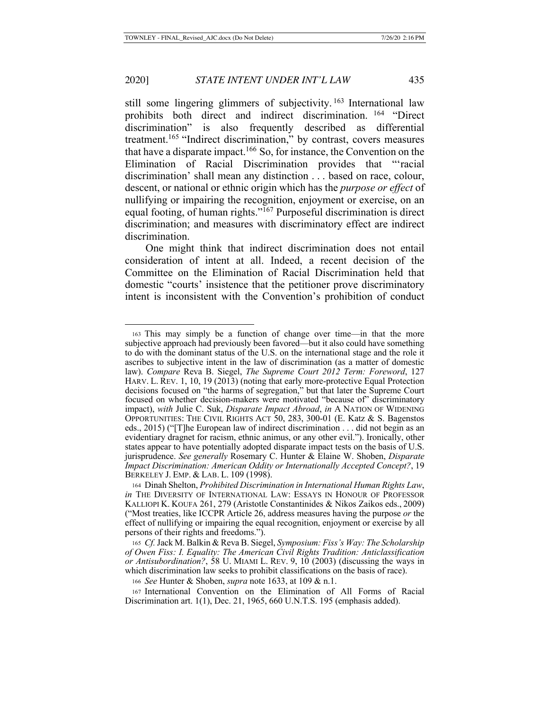still some lingering glimmers of subjectivity.<sup>163</sup> International law prohibits both direct and indirect discrimination. <sup>164</sup> "Direct discrimination" is also frequently described as differential treatment.165 "Indirect discrimination," by contrast, covers measures that have a disparate impact.<sup>166</sup> So, for instance, the Convention on the Elimination of Racial Discrimination provides that "'racial discrimination' shall mean any distinction . . . based on race, colour, descent, or national or ethnic origin which has the *purpose or effect* of nullifying or impairing the recognition, enjoyment or exercise, on an equal footing, of human rights."167 Purposeful discrimination is direct discrimination; and measures with discriminatory effect are indirect discrimination.

One might think that indirect discrimination does not entail consideration of intent at all. Indeed, a recent decision of the Committee on the Elimination of Racial Discrimination held that domestic "courts' insistence that the petitioner prove discriminatory intent is inconsistent with the Convention's prohibition of conduct

<sup>163</sup> This may simply be a function of change over time—in that the more subjective approach had previously been favored—but it also could have something to do with the dominant status of the U.S. on the international stage and the role it ascribes to subjective intent in the law of discrimination (as a matter of domestic law). *Compare* Reva B. Siegel, *The Supreme Court 2012 Term: Foreword*, 127 HARV. L. REV. 1, 10, 19 (2013) (noting that early more-protective Equal Protection decisions focused on "the harms of segregation," but that later the Supreme Court focused on whether decision-makers were motivated "because of" discriminatory impact), *with* Julie C. Suk, *Disparate Impact Abroad*, *in* A NATION OF WIDENING OPPORTUNITIES: THE CIVIL RIGHTS ACT 50, 283, 300-01 (E. Katz & S. Bagenstos eds., 2015) ("[T]he European law of indirect discrimination . . . did not begin as an evidentiary dragnet for racism, ethnic animus, or any other evil."). Ironically, other states appear to have potentially adopted disparate impact tests on the basis of U.S. jurisprudence. *See generally* Rosemary C. Hunter & Elaine W. Shoben, *Disparate Impact Discrimination: American Oddity or Internationally Accepted Concept?*, 19 BERKELEY J. EMP. & LAB. L. 109 (1998).

<sup>164</sup> Dinah Shelton, *Prohibited Discrimination in International Human Rights Law*, *in* THE DIVERSITY OF INTERNATIONAL LAW: ESSAYS IN HONOUR OF PROFESSOR KALLIOPI K. KOUFA 261, 279 (Aristotle Constantinides & Nikos Zaikos eds., 2009) ("Most treaties, like ICCPR Article 26, address measures having the purpose *or* the effect of nullifying or impairing the equal recognition, enjoyment or exercise by all persons of their rights and freedoms.").

<sup>165</sup> *Cf.* Jack M. Balkin & Reva B. Siegel, *Symposium: Fiss's Way: The Scholarship of Owen Fiss: I. Equality: The American Civil Rights Tradition: Anticlassification or Antisubordination?*, 58 U. MIAMI L. REV. 9, 10 (2003) (discussing the ways in which discrimination law seeks to prohibit classifications on the basis of race).

<sup>166</sup> *See* Hunter & Shoben, *supra* note 1633, at 109 & n.1.

<sup>167</sup> International Convention on the Elimination of All Forms of Racial Discrimination art. 1(1), Dec. 21, 1965, 660 U.N.T.S. 195 (emphasis added).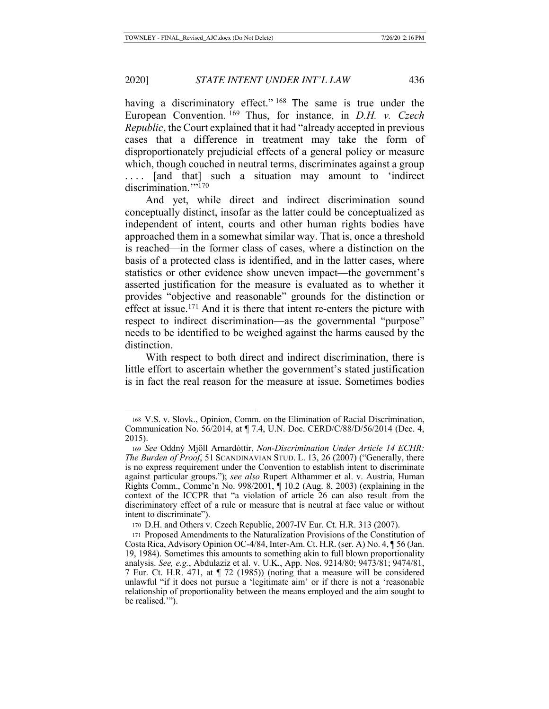having a discriminatory effect."<sup>168</sup> The same is true under the European Convention. 169 Thus, for instance, in *D.H. v. Czech Republic*, the Court explained that it had "already accepted in previous cases that a difference in treatment may take the form of disproportionately prejudicial effects of a general policy or measure which, though couched in neutral terms, discriminates against a group .... [and that] such a situation may amount to 'indirect discrimination.""170

And yet, while direct and indirect discrimination sound conceptually distinct, insofar as the latter could be conceptualized as independent of intent, courts and other human rights bodies have approached them in a somewhat similar way. That is, once a threshold is reached—in the former class of cases, where a distinction on the basis of a protected class is identified, and in the latter cases, where statistics or other evidence show uneven impact—the government's asserted justification for the measure is evaluated as to whether it provides "objective and reasonable" grounds for the distinction or effect at issue.<sup>171</sup> And it is there that intent re-enters the picture with respect to indirect discrimination—as the governmental "purpose" needs to be identified to be weighed against the harms caused by the distinction.

With respect to both direct and indirect discrimination, there is little effort to ascertain whether the government's stated justification is in fact the real reason for the measure at issue. Sometimes bodies

<sup>168</sup> V.S. v. Slovk., Opinion, Comm. on the Elimination of Racial Discrimination, Communication No. 56/2014, at ¶ 7.4, U.N. Doc. CERD/C/88/D/56/2014 (Dec. 4, 2015).

<sup>169</sup> *See* Oddný Mjöll Arnardóttir, *Non-Discrimination Under Article 14 ECHR: The Burden of Proof*, 51 SCANDINAVIAN STUD. L. 13, 26 (2007) ("Generally, there is no express requirement under the Convention to establish intent to discriminate against particular groups."); *see also* Rupert Althammer et al. v. Austria, Human Rights Comm., Commc'n No. 998/2001, ¶ 10.2 (Aug. 8, 2003) (explaining in the context of the ICCPR that "a violation of article 26 can also result from the discriminatory effect of a rule or measure that is neutral at face value or without intent to discriminate").

<sup>170</sup> D.H. and Others v. Czech Republic, 2007-IV Eur. Ct. H.R. 313 (2007).

<sup>171</sup> Proposed Amendments to the Naturalization Provisions of the Constitution of Costa Rica, Advisory Opinion OC-4/84, Inter-Am. Ct. H.R. (ser. A) No. 4, ¶ 56 (Jan. 19, 1984). Sometimes this amounts to something akin to full blown proportionality analysis. *See, e.g.*, Abdulaziz et al. v. U.K., App. Nos. 9214/80; 9473/81; 9474/81, 7 Eur. Ct. H.R. 471, at ¶ 72 (1985)) (noting that a measure will be considered unlawful "if it does not pursue a 'legitimate aim' or if there is not a 'reasonable relationship of proportionality between the means employed and the aim sought to be realised.'").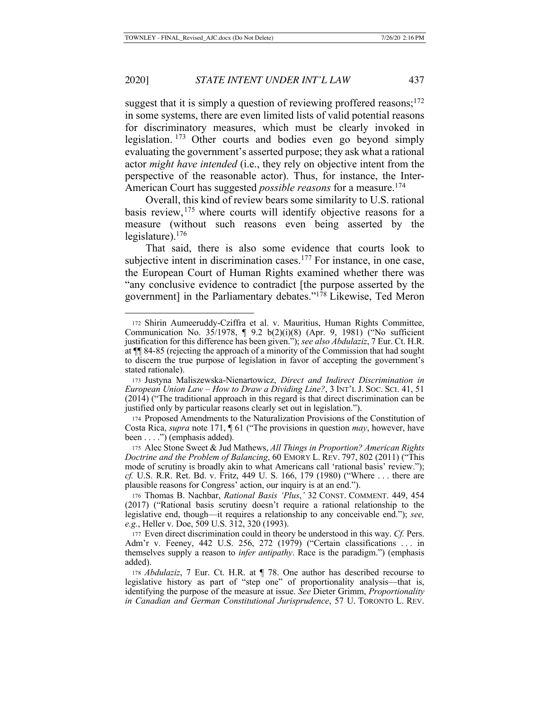suggest that it is simply a question of reviewing proffered reasons; $172$ in some systems, there are even limited lists of valid potential reasons for discriminatory measures, which must be clearly invoked in legislation. 173 Other courts and bodies even go beyond simply evaluating the government's asserted purpose; they ask what a rational actor *might have intended* (i.e., they rely on objective intent from the perspective of the reasonable actor). Thus, for instance, the Inter-American Court has suggested *possible reasons* for a measure.<sup>174</sup>

Overall, this kind of review bears some similarity to U.S. rational basis review,<sup>175</sup> where courts will identify objective reasons for a measure (without such reasons even being asserted by the legislature). $176$ 

That said, there is also some evidence that courts look to subjective intent in discrimination cases.<sup>177</sup> For instance, in one case, the European Court of Human Rights examined whether there was "any conclusive evidence to contradict [the purpose asserted by the government] in the Parliamentary debates."178 Likewise, Ted Meron

<sup>172</sup> Shirin Aumeeruddy-Cziffra et al. v. Mauritius, Human Rights Committee, Communication No. 35/1978, ¶ 9.2 b(2)(i)(8) (Apr. 9, 1981) ("No sufficient justification for this difference has been given."); *see also Abdulaziz*, 7 Eur. Ct. H.R. at ¶¶ 84-85 (rejecting the approach of a minority of the Commission that had sought to discern the true purpose of legislation in favor of accepting the government's stated rationale).

<sup>173</sup> Justyna Maliszewska-Nienartowicz, *Direct and Indirect Discrimination in European Union Law – How to Draw a Dividing Line?*, 3 INT'L J. SOC. SCI. 41, 51 (2014) ("The traditional approach in this regard is that direct discrimination can be justified only by particular reasons clearly set out in legislation.").

<sup>174</sup> Proposed Amendments to the Naturalization Provisions of the Constitution of Costa Rica, *supra* note 171, ¶ 61 ("The provisions in question *may*, however, have been . . . .") (emphasis added).

<sup>175</sup> Alec Stone Sweet & Jud Mathews, *All Things in Proportion? American Rights Doctrine and the Problem of Balancing*, 60 EMORY L. REV. 797, 802 (2011) ("This mode of scrutiny is broadly akin to what Americans call 'rational basis' review."); *cf.* U.S. R.R. Ret. Bd. v. Fritz, 449 U. S. 166, 179 (1980) ("Where . . . there are plausible reasons for Congress' action, our inquiry is at an end.").

<sup>176</sup> Thomas B. Nachbar, *Rational Basis 'Plus*,*'* 32 CONST. COMMENT. 449, 454 (2017) ("Rational basis scrutiny doesn't require a rational relationship to the legislative end, though—it requires a relationship to any conceivable end."); *see, e.g.*, Heller v. Doe, 509 U.S. 312, 320 (1993).

<sup>177</sup> Even direct discrimination could in theory be understood in this way. *Cf.* Pers. Adm'r v. Feeney, 442 U.S. 256, 272 (1979) ("Certain classifications . . . in themselves supply a reason to *infer antipathy*. Race is the paradigm.") (emphasis added).

<sup>178</sup> *Abdulaziz*, 7 Eur. Ct. H.R. at ¶ 78. One author has described recourse to legislative history as part of "step one" of proportionality analysis—that is, identifying the purpose of the measure at issue. *See* Dieter Grimm, *Proportionality in Canadian and German Constitutional Jurisprudence*, 57 U. TORONTO L. REV.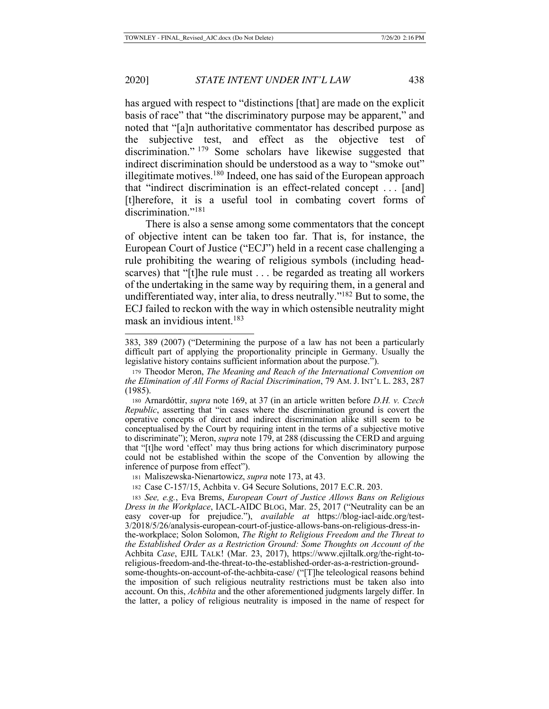has argued with respect to "distinctions [that] are made on the explicit basis of race" that "the discriminatory purpose may be apparent," and noted that "[a]n authoritative commentator has described purpose as the subjective test, and effect as the objective test of discrimination." <sup>179</sup> Some scholars have likewise suggested that indirect discrimination should be understood as a way to "smoke out" illegitimate motives.<sup>180</sup> Indeed, one has said of the European approach that "indirect discrimination is an effect-related concept . . . [and] [t]herefore, it is a useful tool in combating covert forms of discrimination."<sup>181</sup>

There is also a sense among some commentators that the concept of objective intent can be taken too far. That is, for instance, the European Court of Justice ("ECJ") held in a recent case challenging a rule prohibiting the wearing of religious symbols (including headscarves) that "[t]he rule must . . . be regarded as treating all workers of the undertaking in the same way by requiring them, in a general and undifferentiated way, inter alia, to dress neutrally."182 But to some, the ECJ failed to reckon with the way in which ostensible neutrality might mask an invidious intent.183

<sup>181</sup> Maliszewska-Nienartowicz, *supra* note 173, at 43.

<sup>182</sup> Case C‑157/15, Achbita v. G4 Secure Solutions, 2017 E.C.R. 203.

<sup>383, 389 (2007) (&</sup>quot;Determining the purpose of a law has not been a particularly difficult part of applying the proportionality principle in Germany. Usually the legislative history contains sufficient information about the purpose.").

<sup>179</sup> Theodor Meron, *The Meaning and Reach of the International Convention on the Elimination of All Forms of Racial Discrimination*, 79 AM. J. INT'L L. 283, 287 (1985).

<sup>180</sup> Arnardóttir, *supra* note 169, at 37 (in an article written before *D.H. v. Czech Republic*, asserting that "in cases where the discrimination ground is covert the operative concepts of direct and indirect discrimination alike still seem to be conceptualised by the Court by requiring intent in the terms of a subjective motive to discriminate"); Meron, *supra* note 179, at 288 (discussing the CERD and arguing that "[t]he word 'effect' may thus bring actions for which discriminatory purpose could not be established within the scope of the Convention by allowing the inference of purpose from effect").

<sup>183</sup> *See, e.g.*, Eva Brems, *European Court of Justice Allows Bans on Religious Dress in the Workplace*, IACL-AIDC BLOG, Mar. 25, 2017 ("Neutrality can be an easy cover-up for prejudice."), *available at* https://blog-iacl-aidc.org/test-3/2018/5/26/analysis-european-court-of-justice-allows-bans-on-religious-dress-inthe-workplace; Solon Solomon, *The Right to Religious Freedom and the Threat to the Established Order as a Restriction Ground: Some Thoughts on Account of the*  Achbita *Case*, EJIL TALK! (Mar. 23, 2017), https://www.ejiltalk.org/the-right-toreligious-freedom-and-the-threat-to-the-established-order-as-a-restriction-groundsome-thoughts-on-account-of-the-achbita-case/ ("[T]he teleological reasons behind the imposition of such religious neutrality restrictions must be taken also into

account. On this, *Achbita* and the other aforementioned judgments largely differ. In the latter, a policy of religious neutrality is imposed in the name of respect for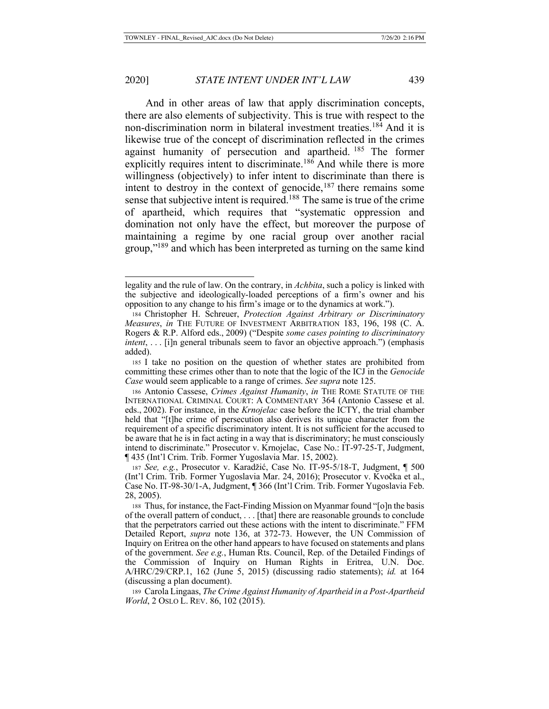And in other areas of law that apply discrimination concepts, there are also elements of subjectivity. This is true with respect to the non-discrimination norm in bilateral investment treaties.184 And it is likewise true of the concept of discrimination reflected in the crimes against humanity of persecution and apartheid. <sup>185</sup> The former explicitly requires intent to discriminate.<sup>186</sup> And while there is more willingness (objectively) to infer intent to discriminate than there is intent to destroy in the context of genocide,  $187$  there remains some sense that subjective intent is required.<sup>188</sup> The same is true of the crime of apartheid, which requires that "systematic oppression and domination not only have the effect, but moreover the purpose of maintaining a regime by one racial group over another racial group,"189 and which has been interpreted as turning on the same kind

legality and the rule of law. On the contrary, in *Achbita*, such a policy is linked with the subjective and ideologically-loaded perceptions of a firm's owner and his opposition to any change to his firm's image or to the dynamics at work.").

<sup>184</sup> Christopher H. Schreuer, *Protection Against Arbitrary or Discriminatory Measures*, *in* THE FUTURE OF INVESTMENT ARBITRATION 183, 196, 198 (C. A. Rogers & R.P. Alford eds., 2009) ("Despite *some cases pointing to discriminatory intent*, . . . [i]n general tribunals seem to favor an objective approach.") (emphasis added).

<sup>185</sup> I take no position on the question of whether states are prohibited from committing these crimes other than to note that the logic of the ICJ in the *Genocide Case* would seem applicable to a range of crimes. *See supra* note 125.

<sup>186</sup> Antonio Cassese, *Crimes Against Humanity*, *in* THE ROME STATUTE OF THE INTERNATIONAL CRIMINAL COURT: A COMMENTARY 364 (Antonio Cassese et al. eds., 2002). For instance, in the *Krnojelac* case before the ICTY, the trial chamber held that "[t]he crime of persecution also derives its unique character from the requirement of a specific discriminatory intent. It is not sufficient for the accused to be aware that he is in fact acting in a way that is discriminatory; he must consciously intend to discriminate." Prosecutor v. Krnojelac, Case No.: IT-97-25-T, Judgment, ¶ 435 (Int'l Crim. Trib. Former Yugoslavia Mar. 15, 2002).

<sup>187</sup> *See, e.g.*, Prosecutor v. Karadžić, Case No. IT-95-5/18-T, Judgment, ¶ 500 (Int'l Crim. Trib. Former Yugoslavia Mar. 24, 2016); Prosecutor v. Kvočka et al., Case No. IT-98-30/1-A, Judgment, ¶ 366 (Int'l Crim. Trib. Former Yugoslavia Feb. 28, 2005).

<sup>188</sup> Thus, for instance, the Fact-Finding Mission on Myanmar found "[o]n the basis of the overall pattern of conduct, . . . [that] there are reasonable grounds to conclude that the perpetrators carried out these actions with the intent to discriminate." FFM Detailed Report, *supra* note 136, at 372-73. However, the UN Commission of Inquiry on Eritrea on the other hand appears to have focused on statements and plans of the government. *See e.g.*, Human Rts. Council, Rep. of the Detailed Findings of the Commission of Inquiry on Human Rights in Eritrea, U.N. Doc. A/HRC/29/CRP.1, 162 (June 5, 2015) (discussing radio statements); *id.* at 164 (discussing a plan document).

<sup>189</sup> Carola Lingaas, *The Crime Against Humanity of Apartheid in a Post-Apartheid World*, 2 OSLO L. REV. 86, 102 (2015).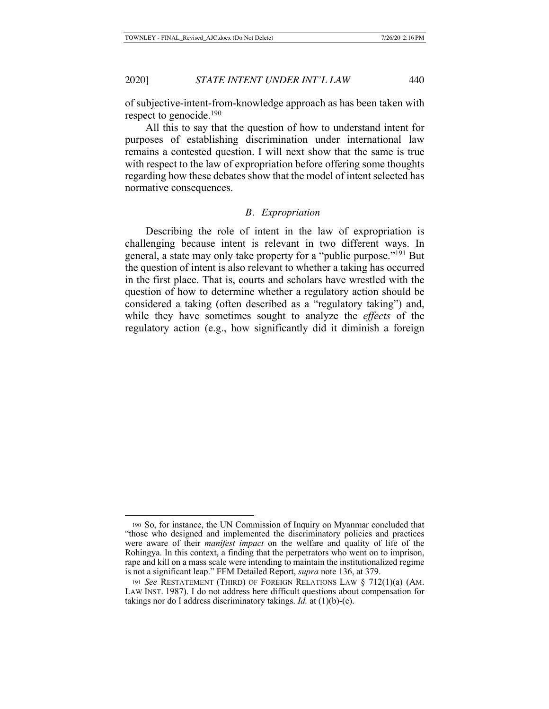of subjective-intent-from-knowledge approach as has been taken with respect to genocide.<sup>190</sup>

All this to say that the question of how to understand intent for purposes of establishing discrimination under international law remains a contested question. I will next show that the same is true with respect to the law of expropriation before offering some thoughts regarding how these debates show that the model of intent selected has normative consequences.

### *B. Expropriation*

Describing the role of intent in the law of expropriation is challenging because intent is relevant in two different ways. In general, a state may only take property for a "public purpose."191 But the question of intent is also relevant to whether a taking has occurred in the first place. That is, courts and scholars have wrestled with the question of how to determine whether a regulatory action should be considered a taking (often described as a "regulatory taking") and, while they have sometimes sought to analyze the *effects* of the regulatory action (e.g., how significantly did it diminish a foreign

<sup>190</sup> So, for instance, the UN Commission of Inquiry on Myanmar concluded that "those who designed and implemented the discriminatory policies and practices were aware of their *manifest impact* on the welfare and quality of life of the Rohingya. In this context, a finding that the perpetrators who went on to imprison, rape and kill on a mass scale were intending to maintain the institutionalized regime is not a significant leap." FFM Detailed Report, *supra* note 136, at 379.

<sup>191</sup> *See* RESTATEMENT (THIRD) OF FOREIGN RELATIONS LAW § 712(1)(a) (AM. LAW INST. 1987). I do not address here difficult questions about compensation for takings nor do I address discriminatory takings. *Id.* at (1)(b)-(c).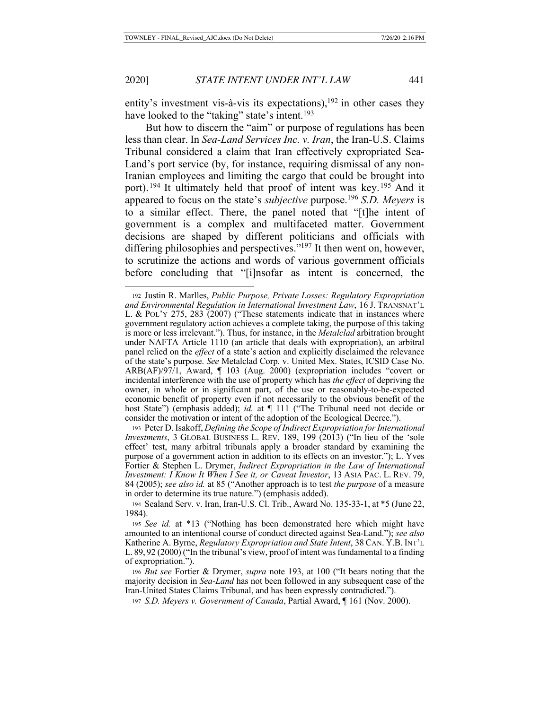entity's investment vis-à-vis its expectations), $192$  in other cases they have looked to the "taking" state's intent.<sup>193</sup>

But how to discern the "aim" or purpose of regulations has been less than clear. In *Sea-Land Services Inc. v. Iran*, the Iran-U.S. Claims Tribunal considered a claim that Iran effectively expropriated Sea-Land's port service (by, for instance, requiring dismissal of any non-Iranian employees and limiting the cargo that could be brought into port). <sup>194</sup> It ultimately held that proof of intent was key. <sup>195</sup> And it appeared to focus on the state's *subjective* purpose.196 *S.D. Meyers* is to a similar effect. There, the panel noted that "[t]he intent of government is a complex and multifaceted matter. Government decisions are shaped by different politicians and officials with differing philosophies and perspectives."<sup>197</sup> It then went on, however, to scrutinize the actions and words of various government officials before concluding that "[i]nsofar as intent is concerned, the

<sup>192</sup> Justin R. Marlles, *Public Purpose, Private Losses: Regulatory Expropriation and Environmental Regulation in International Investment Law*, 16 J. TRANSNAT'L L. & POL'Y 275, 283 (2007) ("These statements indicate that in instances where government regulatory action achieves a complete taking, the purpose of this taking is more or less irrelevant."). Thus, for instance, in the *Metalclad* arbitration brought under NAFTA Article 1110 (an article that deals with expropriation), an arbitral panel relied on the *effect* of a state's action and explicitly disclaimed the relevance of the state's purpose. *See* Metalclad Corp. v. United Mex. States, ICSID Case No. ARB(AF)/97/1, Award, ¶ 103 (Aug. 2000) (expropriation includes "covert or incidental interference with the use of property which has *the effect* of depriving the owner, in whole or in significant part, of the use or reasonably-to-be-expected economic benefit of property even if not necessarily to the obvious benefit of the host State") (emphasis added); *id.* at  $\P$  111 ("The Tribunal need not decide or consider the motivation or intent of the adoption of the Ecological Decree.").

<sup>193</sup> Peter D. Isakoff, *Defining the Scope of Indirect Expropriation for International Investments*, 3 GLOBAL BUSINESS L. REV. 189, 199 (2013) ("In lieu of the 'sole effect' test, many arbitral tribunals apply a broader standard by examining the purpose of a government action in addition to its effects on an investor."); L. Yves Fortier & Stephen L. Drymer, *Indirect Expropriation in the Law of International Investment: I Know It When I See it, or Caveat Investor*, 13 ASIA PAC. L. REV. 79, 84 (2005); *see also id.* at 85 ("Another approach is to test *the purpose* of a measure in order to determine its true nature.") (emphasis added).

<sup>194</sup> Sealand Serv. v. Iran, Iran-U.S. Cl. Trib., Award No. 135-33-1, at \*5 (June 22, 1984).

<sup>195</sup> *See id.* at \*13 ("Nothing has been demonstrated here which might have amounted to an intentional course of conduct directed against Sea-Land."); *see also* Katherine A. Byrne, *Regulatory Expropriation and State Intent*, 38 CAN. Y.B. INT'L L. 89, 92 (2000) ("In the tribunal's view, proof of intent was fundamental to a finding of expropriation.").

<sup>196</sup> *But see* Fortier & Drymer, *supra* note 193, at 100 ("It bears noting that the majority decision in *Sea-Land* has not been followed in any subsequent case of the Iran-United States Claims Tribunal, and has been expressly contradicted.").

<sup>197</sup> *S.D. Meyers v. Government of Canada*, Partial Award, ¶ 161 (Nov. 2000).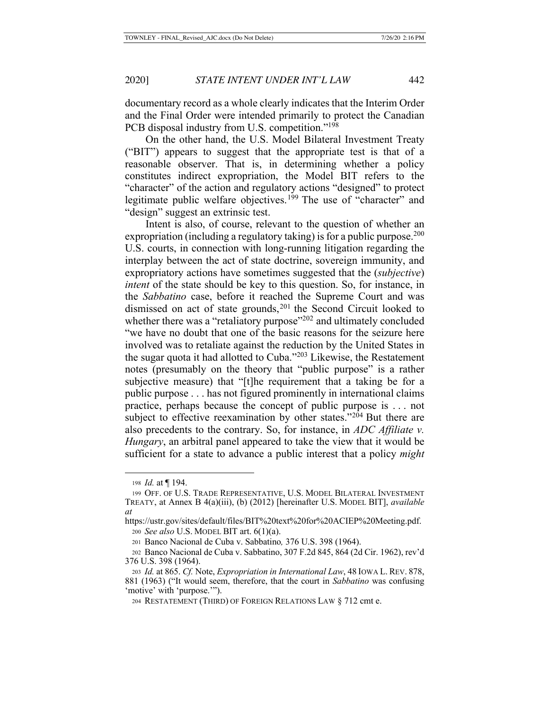documentary record as a whole clearly indicates that the Interim Order and the Final Order were intended primarily to protect the Canadian PCB disposal industry from U.S. competition."<sup>198</sup>

On the other hand, the U.S. Model Bilateral Investment Treaty ("BIT") appears to suggest that the appropriate test is that of a reasonable observer. That is, in determining whether a policy constitutes indirect expropriation, the Model BIT refers to the "character" of the action and regulatory actions "designed" to protect legitimate public welfare objectives.<sup>199</sup> The use of "character" and "design" suggest an extrinsic test.

Intent is also, of course, relevant to the question of whether an expropriation (including a regulatory taking) is for a public purpose.<sup>200</sup> U.S. courts, in connection with long-running litigation regarding the interplay between the act of state doctrine, sovereign immunity, and expropriatory actions have sometimes suggested that the (*subjective*) *intent* of the state should be key to this question. So, for instance, in the *Sabbatino* case, before it reached the Supreme Court and was dismissed on act of state grounds, $201$  the Second Circuit looked to whether there was a "retaliatory purpose"<sup>202</sup> and ultimately concluded "we have no doubt that one of the basic reasons for the seizure here involved was to retaliate against the reduction by the United States in the sugar quota it had allotted to Cuba."203 Likewise, the Restatement notes (presumably on the theory that "public purpose" is a rather subjective measure) that "[t]he requirement that a taking be for a public purpose . . . has not figured prominently in international claims practice, perhaps because the concept of public purpose is . . . not subject to effective reexamination by other states." $2\overline{0}4$  But there are also precedents to the contrary. So, for instance, in *ADC Affiliate v. Hungary*, an arbitral panel appeared to take the view that it would be sufficient for a state to advance a public interest that a policy *might*

<sup>198</sup> *Id.* at ¶ 194.

<sup>199</sup> OFF. OF U.S. TRADE REPRESENTATIVE, U.S. MODEL BILATERAL INVESTMENT TREATY, at Annex B 4(a)(iii), (b) (2012) [hereinafter U.S. MODEL BIT], *available at*

https://ustr.gov/sites/default/files/BIT%20text%20for%20ACIEP%20Meeting.pdf. <sup>200</sup> *See also* U.S. MODEL BIT art. 6(1)(a).

<sup>201</sup> Banco Nacional de Cuba v. Sabbatino*,* 376 U.S. 398 (1964).

<sup>202</sup> Banco Nacional de Cuba v. Sabbatino, 307 F.2d 845, 864 (2d Cir. 1962), rev'd 376 U.S. 398 (1964).

<sup>203</sup> *Id.* at 865. *Cf.* Note, *Expropriation in International Law*, 48 IOWA L. REV. 878, 881 (1963) ("It would seem, therefore, that the court in *Sabbatino* was confusing 'motive' with 'purpose.'").

<sup>204</sup> RESTATEMENT (THIRD) OF FOREIGN RELATIONS LAW § 712 cmt e.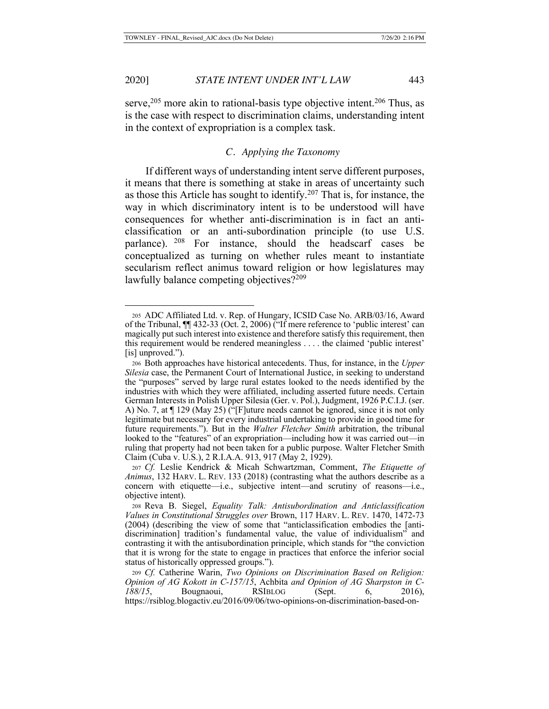serve,  $205$  more akin to rational-basis type objective intent.  $206$  Thus, as is the case with respect to discrimination claims, understanding intent in the context of expropriation is a complex task.

# *C. Applying the Taxonomy*

If different ways of understanding intent serve different purposes, it means that there is something at stake in areas of uncertainty such as those this Article has sought to identify.<sup>207</sup> That is, for instance, the way in which discriminatory intent is to be understood will have consequences for whether anti-discrimination is in fact an anticlassification or an anti-subordination principle (to use U.S. parlance). 208 For instance, should the headscarf cases be conceptualized as turning on whether rules meant to instantiate secularism reflect animus toward religion or how legislatures may lawfully balance competing objectives?<sup>209</sup>

<sup>205</sup> ADC Affiliated Ltd. v. Rep. of Hungary, ICSID Case No. ARB/03/16, Award of the Tribunal, ¶¶ 432-33 (Oct. 2, 2006) ("If mere reference to 'public interest' can magically put such interest into existence and therefore satisfy this requirement, then this requirement would be rendered meaningless . . . . the claimed 'public interest' [is] unproved.").

<sup>206</sup> Both approaches have historical antecedents. Thus, for instance, in the *Upper Silesia* case, the Permanent Court of International Justice, in seeking to understand the "purposes" served by large rural estates looked to the needs identified by the industries with which they were affiliated, including asserted future needs. Certain German Interests in Polish Upper Silesia (Ger. v. Pol.), Judgment, 1926 P.C.I.J. (ser. A) No. 7, at ¶ 129 (May 25) ("[F]uture needs cannot be ignored, since it is not only legitimate but necessary for every industrial undertaking to provide in good time for future requirements."). But in the *Walter Fletcher Smith* arbitration, the tribunal looked to the "features" of an expropriation—including how it was carried out—in ruling that property had not been taken for a public purpose. Walter Fletcher Smith Claim (Cuba v. U.S.), 2 R.I.A.A. 913, 917 (May 2, 1929).

<sup>207</sup> *Cf.* Leslie Kendrick & Micah Schwartzman, Comment, *The Etiquette of Animus*, 132 HARV. L. REV. 133 (2018) (contrasting what the authors describe as a concern with etiquette—i.e., subjective intent—and scrutiny of reasons—i.e., objective intent).

<sup>208</sup> Reva B. Siegel, *Equality Talk: Antisubordination and Anticlassification Values in Constitutional Struggles over* Brown, 117 HARV. L. REV. 1470, 1472-73 (2004) (describing the view of some that "anticlassification embodies the [antidiscrimination] tradition's fundamental value, the value of individualism" and contrasting it with the antisubordination principle, which stands for "the conviction that it is wrong for the state to engage in practices that enforce the inferior social status of historically oppressed groups.").

<sup>209</sup> *Cf.* Catherine Warin, *Two Opinions on Discrimination Based on Religion: Opinion of AG Kokott in C-157/15*, Achbita *and Opinion of AG Sharpston in C-188/15*, Bougnaoui, RSIBLOG (Sept. 6, 2016), https://rsiblog.blogactiv.eu/2016/09/06/two-opinions-on-discrimination-based-on-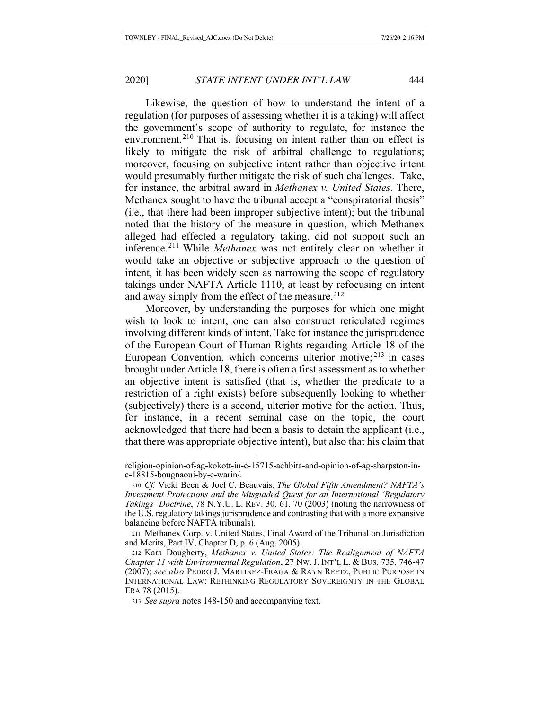Likewise, the question of how to understand the intent of a regulation (for purposes of assessing whether it is a taking) will affect the government's scope of authority to regulate, for instance the environment.<sup>210</sup> That is, focusing on intent rather than on effect is likely to mitigate the risk of arbitral challenge to regulations; moreover, focusing on subjective intent rather than objective intent would presumably further mitigate the risk of such challenges. Take, for instance, the arbitral award in *Methanex v. United States*. There, Methanex sought to have the tribunal accept a "conspiratorial thesis" (i.e., that there had been improper subjective intent); but the tribunal noted that the history of the measure in question, which Methanex alleged had effected a regulatory taking, did not support such an inference.211 While *Methanex* was not entirely clear on whether it would take an objective or subjective approach to the question of intent, it has been widely seen as narrowing the scope of regulatory takings under NAFTA Article 1110, at least by refocusing on intent and away simply from the effect of the measure.<sup>212</sup>

Moreover, by understanding the purposes for which one might wish to look to intent, one can also construct reticulated regimes involving different kinds of intent. Take for instance the jurisprudence of the European Court of Human Rights regarding Article 18 of the European Convention, which concerns ulterior motive; 213 in cases brought under Article 18, there is often a first assessment as to whether an objective intent is satisfied (that is, whether the predicate to a restriction of a right exists) before subsequently looking to whether (subjectively) there is a second, ulterior motive for the action. Thus, for instance, in a recent seminal case on the topic, the court acknowledged that there had been a basis to detain the applicant (i.e., that there was appropriate objective intent), but also that his claim that

religion-opinion-of-ag-kokott-in-c-15715-achbita-and-opinion-of-ag-sharpston-inc-18815-bougnaoui-by-c-warin/.

<sup>210</sup> *Cf.* Vicki Been & Joel C. Beauvais, *The Global Fifth Amendment? NAFTA's Investment Protections and the Misguided Quest for an International 'Regulatory Takings' Doctrine*, 78 N.Y.U. L. REV. 30, 61, 70 (2003) (noting the narrowness of the U.S. regulatory takings jurisprudence and contrasting that with a more expansive balancing before NAFTA tribunals).

<sup>211</sup> Methanex Corp. v. United States, Final Award of the Tribunal on Jurisdiction and Merits, Part IV, Chapter D, p. 6 (Aug. 2005).

<sup>212</sup> Kara Dougherty, *Methanex v. United States: The Realignment of NAFTA Chapter 11 with Environmental Regulation*, 27 NW. J. INT'L L. & BUS. 735, 746-47 (2007); *see also* PEDRO J. MARTINEZ-FRAGA & RAYN REETZ, PUBLIC PURPOSE IN INTERNATIONAL LAW: RETHINKING REGULATORY SOVEREIGNTY IN THE GLOBAL ERA 78 (2015).

<sup>213</sup> *See supra* notes 148-150 and accompanying text.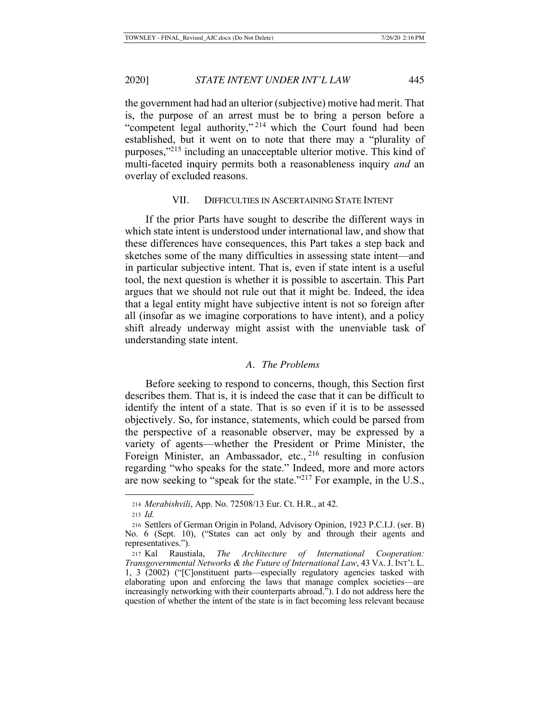the government had had an ulterior (subjective) motive had merit. That is, the purpose of an arrest must be to bring a person before a "competent legal authority,"<sup>214</sup> which the Court found had been established, but it went on to note that there may a "plurality of purposes,"215 including an unacceptable ulterior motive. This kind of multi-faceted inquiry permits both a reasonableness inquiry *and* an overlay of excluded reasons.

# VII. DIFFICULTIES IN ASCERTAINING STATE INTENT

If the prior Parts have sought to describe the different ways in which state intent is understood under international law, and show that these differences have consequences, this Part takes a step back and sketches some of the many difficulties in assessing state intent—and in particular subjective intent. That is, even if state intent is a useful tool, the next question is whether it is possible to ascertain. This Part argues that we should not rule out that it might be. Indeed, the idea that a legal entity might have subjective intent is not so foreign after all (insofar as we imagine corporations to have intent), and a policy shift already underway might assist with the unenviable task of understanding state intent.

# *A. The Problems*

Before seeking to respond to concerns, though, this Section first describes them. That is, it is indeed the case that it can be difficult to identify the intent of a state. That is so even if it is to be assessed objectively. So, for instance, statements, which could be parsed from the perspective of a reasonable observer, may be expressed by a variety of agents—whether the President or Prime Minister, the Foreign Minister, an Ambassador, etc., <sup>216</sup> resulting in confusion regarding "who speaks for the state." Indeed, more and more actors are now seeking to "speak for the state."217 For example, in the U.S.,

<sup>214</sup> *Merabishvili*, App. No. 72508/13 Eur. Ct. H.R., at 42.

<sup>215</sup> *Id.*

<sup>216</sup> Settlers of German Origin in Poland, Advisory Opinion, 1923 P.C.I.J. (ser. B) No. 6 (Sept. 10), ("States can act only by and through their agents and representatives.").

<sup>217</sup> Kal Raustiala, *The Architecture of International Cooperation: Transgovernmental Networks & the Future of International Law*, 43 VA.J. INT'L L. 1, 3 (2002) ("[C]onstituent parts—especially regulatory agencies tasked with elaborating upon and enforcing the laws that manage complex societies—are increasingly networking with their counterparts abroad."). I do not address here the question of whether the intent of the state is in fact becoming less relevant because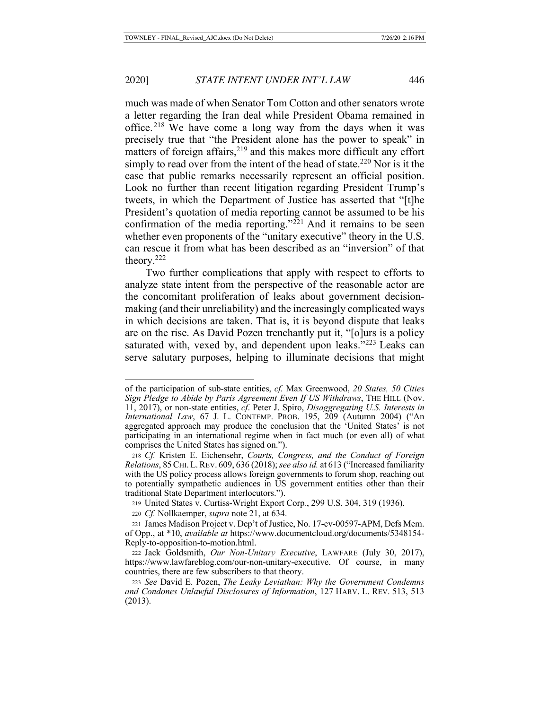much was made of when Senator Tom Cotton and other senators wrote a letter regarding the Iran deal while President Obama remained in office.<sup>218</sup> We have come a long way from the days when it was precisely true that "the President alone has the power to speak" in matters of foreign affairs, $2^{19}$  and this makes more difficult any effort simply to read over from the intent of the head of state.<sup>220</sup> Nor is it the case that public remarks necessarily represent an official position. Look no further than recent litigation regarding President Trump's tweets, in which the Department of Justice has asserted that "[t]he President's quotation of media reporting cannot be assumed to be his confirmation of the media reporting." $2^{21}$  And it remains to be seen whether even proponents of the "unitary executive" theory in the U.S. can rescue it from what has been described as an "inversion" of that theory.222

Two further complications that apply with respect to efforts to analyze state intent from the perspective of the reasonable actor are the concomitant proliferation of leaks about government decisionmaking (and their unreliability) and the increasingly complicated ways in which decisions are taken. That is, it is beyond dispute that leaks are on the rise. As David Pozen trenchantly put it, "[o]urs is a policy saturated with, vexed by, and dependent upon leaks."<sup>223</sup> Leaks can serve salutary purposes, helping to illuminate decisions that might

of the participation of sub-state entities, *cf.* Max Greenwood, *20 States, 50 Cities Sign Pledge to Abide by Paris Agreement Even If US Withdraws*, THE HILL (Nov. 11, 2017), or non-state entities, *cf*. Peter J. Spiro, *Disaggregating U.S. Interests in International Law*, 67 J. L. CONTEMP. PROB. 195, 209 (Autumn 2004) ("An aggregated approach may produce the conclusion that the 'United States' is not participating in an international regime when in fact much (or even all) of what comprises the United States has signed on.").

<sup>218</sup> *Cf.* Kristen E. Eichensehr, *Courts, Congress, and the Conduct of Foreign Relations*, 85CHI.L.REV. 609, 636 (2018); *see also id.* at 613 ("Increased familiarity with the US policy process allows foreign governments to forum shop, reaching out to potentially sympathetic audiences in US government entities other than their traditional State Department interlocutors.").

<sup>219</sup> United States v. Curtiss-Wright Export Corp*.*, 299 U.S. 304, 319 (1936).

<sup>220</sup> *Cf.* Nollkaemper, *supra* note 21, at 634.

<sup>221</sup> James Madison Project v. Dep't of Justice, No. 17-cv-00597-APM, Defs Mem. of Opp., at \*10, *available at* https://www.documentcloud.org/documents/5348154- Reply-to-opposition-to-motion.html.

<sup>222</sup> Jack Goldsmith, *Our Non-Unitary Executive*, LAWFARE (July 30, 2017), https://www.lawfareblog.com/our-non-unitary-executive. Of course, in many countries, there are few subscribers to that theory.

<sup>223</sup> *See* David E. Pozen, *The Leaky Leviathan: Why the Government Condemns and Condones Unlawful Disclosures of Information*, 127 HARV. L. REV. 513, 513 (2013).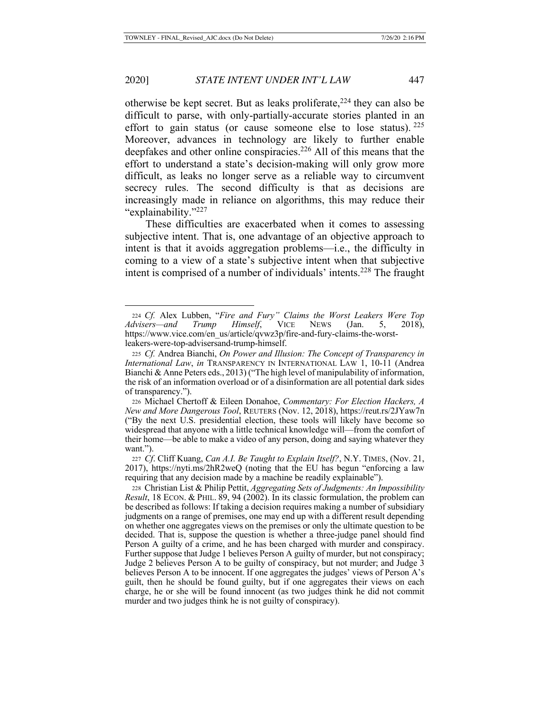otherwise be kept secret. But as leaks proliferate,  $2^{24}$  they can also be difficult to parse, with only-partially-accurate stories planted in an effort to gain status (or cause someone else to lose status).  $225$ Moreover, advances in technology are likely to further enable deepfakes and other online conspiracies.<sup>226</sup> All of this means that the effort to understand a state's decision-making will only grow more difficult, as leaks no longer serve as a reliable way to circumvent secrecy rules. The second difficulty is that as decisions are increasingly made in reliance on algorithms, this may reduce their "explainability."227

These difficulties are exacerbated when it comes to assessing subjective intent. That is, one advantage of an objective approach to intent is that it avoids aggregation problems—i.e., the difficulty in coming to a view of a state's subjective intent when that subjective intent is comprised of a number of individuals' intents.<sup>228</sup> The fraught

<sup>224</sup> *Cf.* Alex Lubben, "*Fire and Fury" Claims the Worst Leakers Were Top Advisers—and Trump Himself*, VICE NEWS (Jan. 5, 2018), https://www.vice.com/en\_us/article/qvwz3p/fire-and-fury-claims-the-worstleakers-were-top-advisersand-trump-himself.

<sup>225</sup> *Cf.* Andrea Bianchi, *On Power and Illusion: The Concept of Transparency in International Law*, *in* TRANSPARENCY IN INTERNATIONAL LAW 1, 10-11 (Andrea Bianchi & Anne Peters eds., 2013) ("The high level of manipulability of information, the risk of an information overload or of a disinformation are all potential dark sides of transparency.").

<sup>226</sup> Michael Chertoff & Eileen Donahoe, *Commentary: For Election Hackers, A New and More Dangerous Tool*, REUTERS (Nov. 12, 2018), https://reut.rs/2JYaw7n ("By the next U.S. presidential election, these tools will likely have become so widespread that anyone with a little technical knowledge will—from the comfort of their home—be able to make a video of any person, doing and saying whatever they want.").

<sup>227</sup> *Cf*. Cliff Kuang, *Can A.I. Be Taught to Explain Itself?*, N.Y. TIMES, (Nov. 21, 2017), https://nyti.ms/2hR2weQ (noting that the EU has begun "enforcing a law requiring that any decision made by a machine be readily explainable").

<sup>228</sup> Christian List & Philip Pettit, *Aggregating Sets of Judgments: An Impossibility Result*, 18 ECON. & PHIL. 89, 94 (2002). In its classic formulation, the problem can be described as follows: If taking a decision requires making a number of subsidiary judgments on a range of premises, one may end up with a different result depending on whether one aggregates views on the premises or only the ultimate question to be decided. That is, suppose the question is whether a three-judge panel should find Person A guilty of a crime, and he has been charged with murder and conspiracy. Further suppose that Judge 1 believes Person A guilty of murder, but not conspiracy; Judge 2 believes Person A to be guilty of conspiracy, but not murder; and Judge 3 believes Person A to be innocent. If one aggregates the judges' views of Person A's guilt, then he should be found guilty, but if one aggregates their views on each charge, he or she will be found innocent (as two judges think he did not commit murder and two judges think he is not guilty of conspiracy).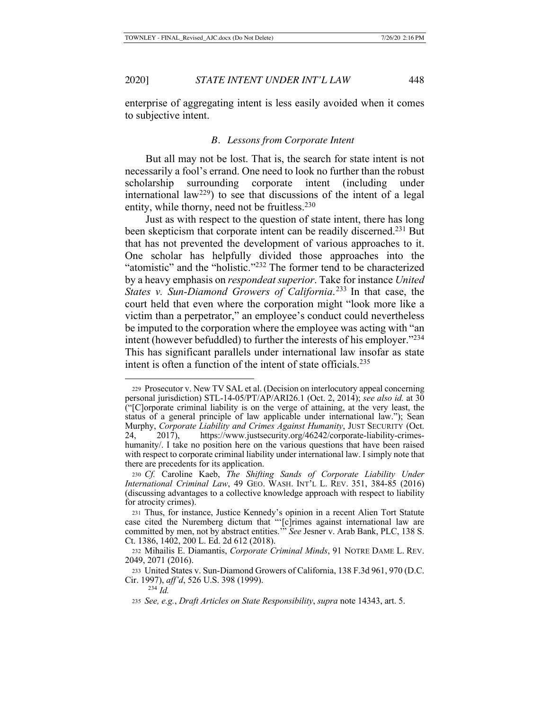enterprise of aggregating intent is less easily avoided when it comes to subjective intent.

## *B. Lessons from Corporate Intent*

But all may not be lost. That is, the search for state intent is not necessarily a fool's errand. One need to look no further than the robust scholarship surrounding corporate intent (including under international law<sup>229</sup>) to see that discussions of the intent of a legal entity, while thorny, need not be fruitless. $230$ 

Just as with respect to the question of state intent, there has long been skepticism that corporate intent can be readily discerned.231 But that has not prevented the development of various approaches to it. One scholar has helpfully divided those approaches into the "atomistic" and the "holistic."<sup>232</sup> The former tend to be characterized by a heavy emphasis on *respondeat superior*. Take for instance *United States v. Sun-Diamond Growers of California*. 233 In that case, the court held that even where the corporation might "look more like a victim than a perpetrator," an employee's conduct could nevertheless be imputed to the corporation where the employee was acting with "an intent (however befuddled) to further the interests of his employer."234 This has significant parallels under international law insofar as state intent is often a function of the intent of state officials.<sup>235</sup>

<sup>229</sup> Prosecutor v. New TV SAL et al. (Decision on interlocutory appeal concerning personal jurisdiction) STL-14-05/PT/AP/ARI26.1 (Oct. 2, 2014); *see also id.* at 30 ("[C]orporate criminal liability is on the verge of attaining, at the very least, the status of a general principle of law applicable under international law."); Sean Murphy, *Corporate Liability and Crimes Against Humanity*, JUST SECURITY (Oct. 24, 2017), https://www.justsecurity.org/46242/corporate-liability-crimeshumanity/. I take no position here on the various questions that have been raised with respect to corporate criminal liability under international law. I simply note that there are precedents for its application.

<sup>230</sup> *Cf.* Caroline Kaeb, *The Shifting Sands of Corporate Liability Under International Criminal Law*, 49 GEO. WASH. INT'L L. REV. 351, 384-85 (2016) (discussing advantages to a collective knowledge approach with respect to liability for atrocity crimes).

<sup>231</sup> Thus, for instance, Justice Kennedy's opinion in a recent Alien Tort Statute case cited the Nuremberg dictum that "'[c]rimes against international law are committed by men, not by abstract entities.'" *See* Jesner v. Arab Bank, PLC, 138 S. Ct. 1386, 1402, 200 L. Ed. 2d 612 (2018).

<sup>232</sup> Mihailis E. Diamantis, *Corporate Criminal Minds*, 91 NOTRE DAME L. REV. 2049, 2071 (2016).

<sup>233</sup> United States v. Sun-Diamond Growers of California, 138 F.3d 961, 970 (D.C. Cir. 1997), *aff'd*, 526 U.S. 398 (1999).

<sup>234</sup> *Id.*

<sup>235</sup> *See, e.g.*, *Draft Articles on State Responsibility*, *supra* note 14343, art. 5.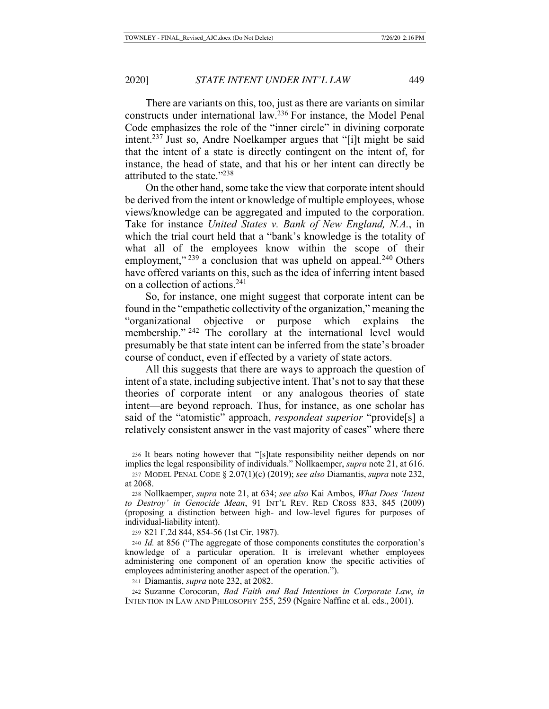There are variants on this, too, just as there are variants on similar constructs under international law.236 For instance, the Model Penal Code emphasizes the role of the "inner circle" in divining corporate intent.237 Just so, Andre Noelkamper argues that "[i]t might be said that the intent of a state is directly contingent on the intent of, for instance, the head of state, and that his or her intent can directly be attributed to the state."238

On the other hand, some take the view that corporate intent should be derived from the intent or knowledge of multiple employees, whose views/knowledge can be aggregated and imputed to the corporation. Take for instance *United States v. Bank of New England, N.A.*, in which the trial court held that a "bank's knowledge is the totality of what all of the employees know within the scope of their employment,"  $239$  a conclusion that was upheld on appeal. $240$  Others have offered variants on this, such as the idea of inferring intent based on a collection of actions.241

So, for instance, one might suggest that corporate intent can be found in the "empathetic collectivity of the organization," meaning the "organizational objective or purpose which explains the membership." <sup>242</sup> The corollary at the international level would presumably be that state intent can be inferred from the state's broader course of conduct, even if effected by a variety of state actors.

All this suggests that there are ways to approach the question of intent of a state, including subjective intent. That's not to say that these theories of corporate intent—or any analogous theories of state intent—are beyond reproach. Thus, for instance, as one scholar has said of the "atomistic" approach, *respondeat superior* "provide[s] a relatively consistent answer in the vast majority of cases" where there

<sup>236</sup> It bears noting however that "[s]tate responsibility neither depends on nor implies the legal responsibility of individuals." Nollkaemper, *supra* note 21, at 616.

<sup>237</sup> MODEL PENAL CODE § 2.07(1)(c) (2019); *see also* Diamantis, *supra* note 232, at 2068.

<sup>238</sup> Nollkaemper, *supra* note 21, at 634; *see also* Kai Ambos, *What Does 'Intent to Destroy' in Genocide Mean*, 91 INT'L REV. RED CROSS 833, 845 (2009) (proposing a distinction between high- and low-level figures for purposes of individual-liability intent).

<sup>239</sup> 821 F.2d 844, 854-56 (1st Cir. 1987).

<sup>240</sup> *Id.* at 856 ("The aggregate of those components constitutes the corporation's knowledge of a particular operation. It is irrelevant whether employees administering one component of an operation know the specific activities of employees administering another aspect of the operation.").

<sup>241</sup> Diamantis, *supra* note 232, at 2082.

<sup>242</sup> Suzanne Corocoran, *Bad Faith and Bad Intentions in Corporate Law*, *in* INTENTION IN LAW AND PHILOSOPHY 255, 259 (Ngaire Naffine et al. eds., 2001).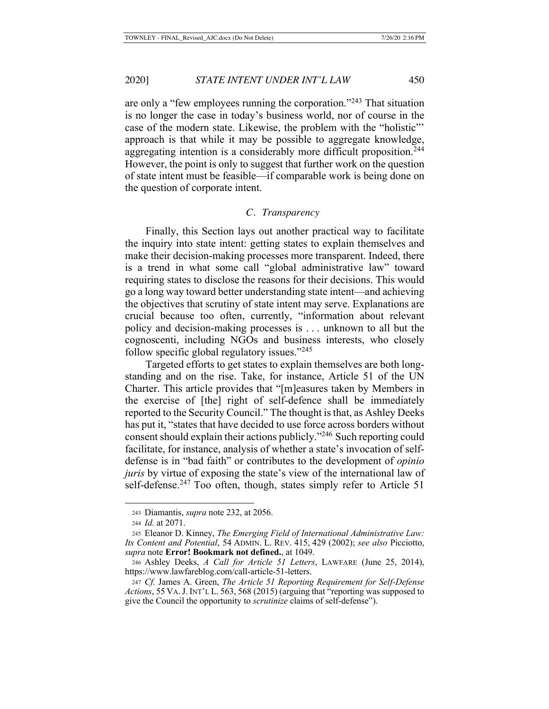are only a "few employees running the corporation."243 That situation is no longer the case in today's business world, nor of course in the case of the modern state. Likewise, the problem with the "holistic"' approach is that while it may be possible to aggregate knowledge, aggregating intention is a considerably more difficult proposition.<sup>244</sup> However, the point is only to suggest that further work on the question of state intent must be feasible—if comparable work is being done on the question of corporate intent.

# *C. Transparency*

Finally, this Section lays out another practical way to facilitate the inquiry into state intent: getting states to explain themselves and make their decision-making processes more transparent. Indeed, there is a trend in what some call "global administrative law" toward requiring states to disclose the reasons for their decisions. This would go a long way toward better understanding state intent—and achieving the objectives that scrutiny of state intent may serve. Explanations are crucial because too often, currently, "information about relevant policy and decision-making processes is . . . unknown to all but the cognoscenti, including NGOs and business interests, who closely follow specific global regulatory issues."245

Targeted efforts to get states to explain themselves are both longstanding and on the rise. Take, for instance, Article 51 of the UN Charter. This article provides that "[m]easures taken by Members in the exercise of [the] right of self-defence shall be immediately reported to the Security Council." The thought is that, as Ashley Deeks has put it, "states that have decided to use force across borders without consent should explain their actions publicly."246 Such reporting could facilitate, for instance, analysis of whether a state's invocation of selfdefense is in "bad faith" or contributes to the development of *opinio juris* by virtue of exposing the state's view of the international law of self-defense.<sup>247</sup> Too often, though, states simply refer to Article 51

<sup>243</sup> Diamantis, *supra* note 232, at 2056.

<sup>244</sup> *Id.* at 2071.

<sup>245</sup> Eleanor D. Kinney, *The Emerging Field of International Administrative Law: Its Content and Potential*, 54 ADMIN. L. REV. 415, 429 (2002); *see also* Picciotto, *supra* note **Error! Bookmark not defined.**, at 1049.

<sup>246</sup> Ashley Deeks, *A Call for Article 51 Letters*, LAWFARE (June 25, 2014), https://www.lawfareblog.com/call-article-51-letters.

<sup>247</sup> *Cf.* James A. Green, *The Article 51 Reporting Requirement for Self-Defense Actions*, 55 VA.J. INT'L L. 563, 568 (2015) (arguing that "reporting was supposed to give the Council the opportunity to *scrutinize* claims of self-defense").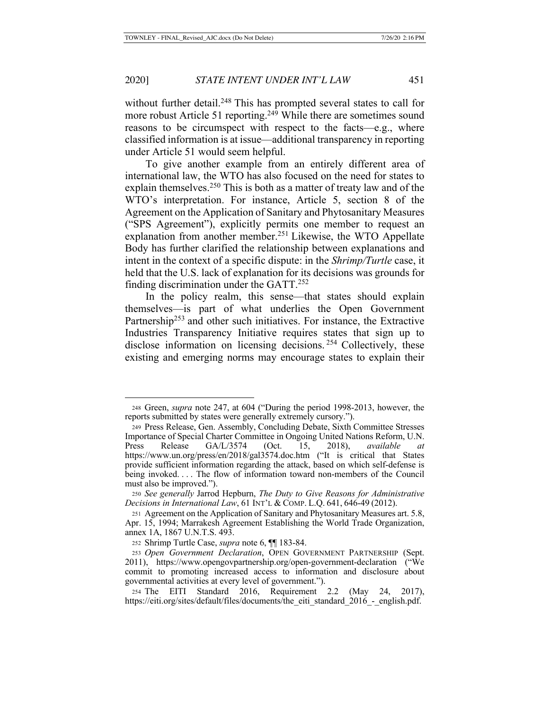without further detail.<sup>248</sup> This has prompted several states to call for more robust Article 51 reporting.<sup>249</sup> While there are sometimes sound reasons to be circumspect with respect to the facts—e.g., where classified information is at issue—additional transparency in reporting under Article 51 would seem helpful.

To give another example from an entirely different area of international law, the WTO has also focused on the need for states to explain themselves.<sup>250</sup> This is both as a matter of treaty law and of the WTO's interpretation. For instance, Article 5, section 8 of the Agreement on the Application of Sanitary and Phytosanitary Measures ("SPS Agreement"), explicitly permits one member to request an explanation from another member.<sup>251</sup> Likewise, the WTO Appellate Body has further clarified the relationship between explanations and intent in the context of a specific dispute: in the *Shrimp/Turtle* case, it held that the U.S. lack of explanation for its decisions was grounds for finding discrimination under the GATT. $252$ 

In the policy realm, this sense—that states should explain themselves—is part of what underlies the Open Government Partnership<sup>253</sup> and other such initiatives. For instance, the Extractive Industries Transparency Initiative requires states that sign up to disclose information on licensing decisions.<sup>254</sup> Collectively, these existing and emerging norms may encourage states to explain their

<sup>248</sup> Green, *supra* note 247, at 604 ("During the period 1998-2013, however, the reports submitted by states were generally extremely cursory.").

<sup>249</sup> Press Release, Gen. Assembly, Concluding Debate, Sixth Committee Stresses Importance of Special Charter Committee in Ongoing United Nations Reform, U.N. Press Release GA/L/3574 (Oct. 15, 2018), *available* https://www.un.org/press/en/2018/gal3574.doc.htm ("It is critical that States provide sufficient information regarding the attack, based on which self-defense is being invoked. . . . The flow of information toward non-members of the Council must also be improved.").

<sup>250</sup> *See generally* Jarrod Hepburn, *The Duty to Give Reasons for Administrative Decisions in International Law*, 61 INT'L & COMP. L.Q. 641, 646-49 (2012).

<sup>251</sup> Agreement on the Application of Sanitary and Phytosanitary Measures art. 5.8, Apr. 15, 1994; Marrakesh Agreement Establishing the World Trade Organization, annex 1A, 1867 U.N.T.S. 493.

<sup>252</sup> Shrimp Turtle Case, *supra* note 6, ¶¶ 183-84.

<sup>253</sup> *Open Government Declaration*, OPEN GOVERNMENT PARTNERSHIP (Sept. 2011), https://www.opengovpartnership.org/open-government-declaration ("We commit to promoting increased access to information and disclosure about governmental activities at every level of government.").

<sup>254</sup> The EITI Standard 2016, Requirement 2.2 (May 24, 2017), https://eiti.org/sites/default/files/documents/the\_eiti\_standard\_2016\_-\_english.pdf.